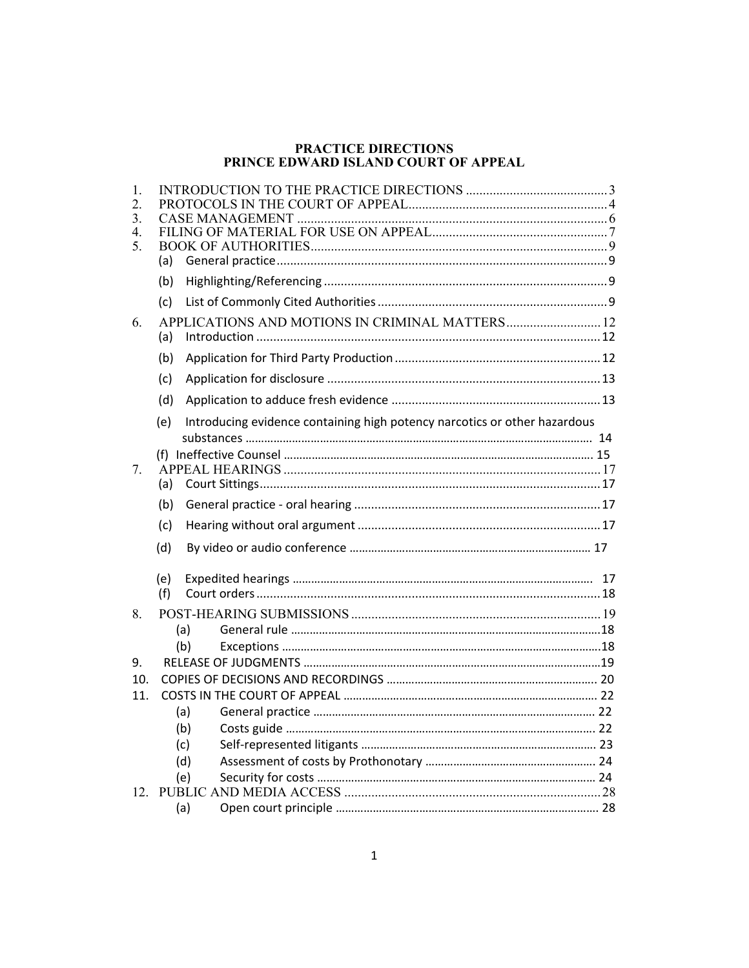#### **PRACTICE DIRECTIONS PRINCE EDWARD ISLAND COURT OF APPEAL**

| 1.<br>2. |     |                                                                           |    |
|----------|-----|---------------------------------------------------------------------------|----|
| 3.       |     |                                                                           |    |
| 4.       |     |                                                                           |    |
| 5.       |     |                                                                           |    |
|          | (a) |                                                                           |    |
|          | (b) |                                                                           |    |
|          | (c) |                                                                           |    |
| 6.       |     | APPLICATIONS AND MOTIONS IN CRIMINAL MATTERS 12                           |    |
|          | (a) |                                                                           |    |
|          | (b) |                                                                           |    |
|          | (c) |                                                                           |    |
|          | (d) |                                                                           |    |
|          | (e) | Introducing evidence containing high potency narcotics or other hazardous |    |
|          |     |                                                                           |    |
|          |     |                                                                           |    |
| 7.       | (a) |                                                                           |    |
|          |     |                                                                           |    |
|          | (b) |                                                                           |    |
|          | (c) |                                                                           |    |
|          | (d) |                                                                           |    |
|          | (e) |                                                                           | 17 |
|          | (f) |                                                                           |    |
| 8.       |     |                                                                           |    |
|          |     | (a)                                                                       |    |
|          |     | (b)                                                                       |    |
| 9.       |     |                                                                           |    |
| 10.      |     |                                                                           |    |
| 11.      |     |                                                                           |    |
|          |     | (a)                                                                       |    |
|          |     | (b)                                                                       |    |
|          |     | (c)                                                                       |    |
|          |     | (d)                                                                       |    |
|          |     | (e)                                                                       |    |
| 12.      |     |                                                                           |    |
|          |     | (a)                                                                       |    |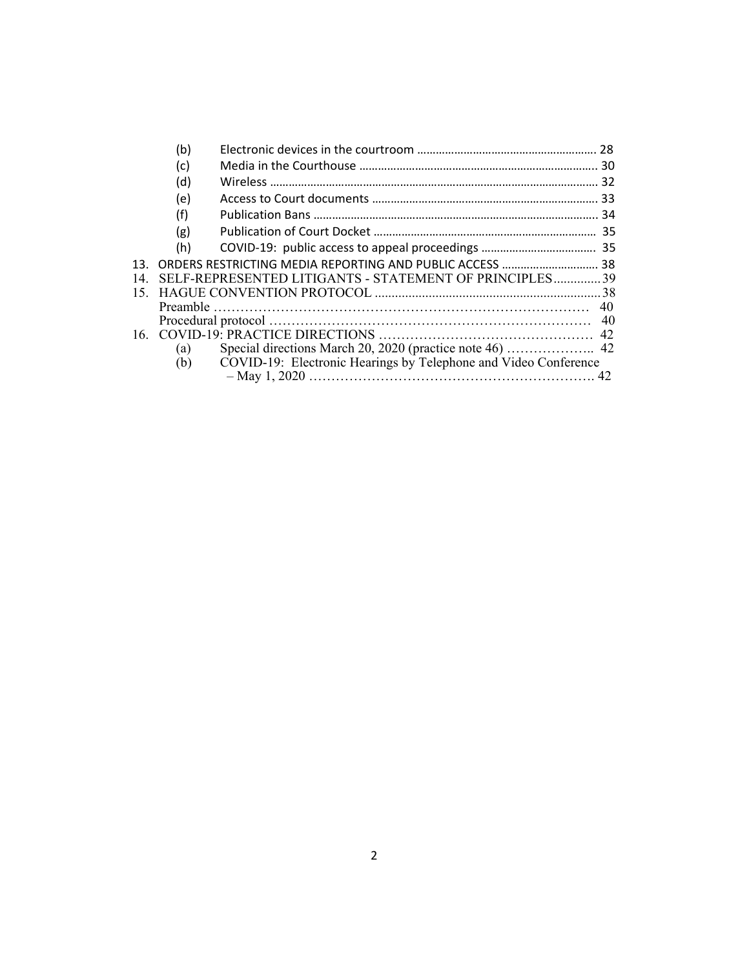|     | (b) |                                                                 | 28 |  |
|-----|-----|-----------------------------------------------------------------|----|--|
|     | (c) |                                                                 |    |  |
|     | (d) |                                                                 | 32 |  |
|     | (e) |                                                                 |    |  |
|     | (f) |                                                                 |    |  |
|     | (g) |                                                                 |    |  |
|     | (h) |                                                                 |    |  |
| 13. |     |                                                                 |    |  |
| 14  |     | SELF-REPRESENTED LITIGANTS - STATEMENT OF PRINCIPLES 39         |    |  |
| 15. |     |                                                                 |    |  |
|     |     |                                                                 | 40 |  |
|     |     |                                                                 |    |  |
|     |     |                                                                 |    |  |
|     | (a) |                                                                 |    |  |
|     | (b) | COVID-19: Electronic Hearings by Telephone and Video Conference |    |  |
|     |     |                                                                 |    |  |
|     |     |                                                                 |    |  |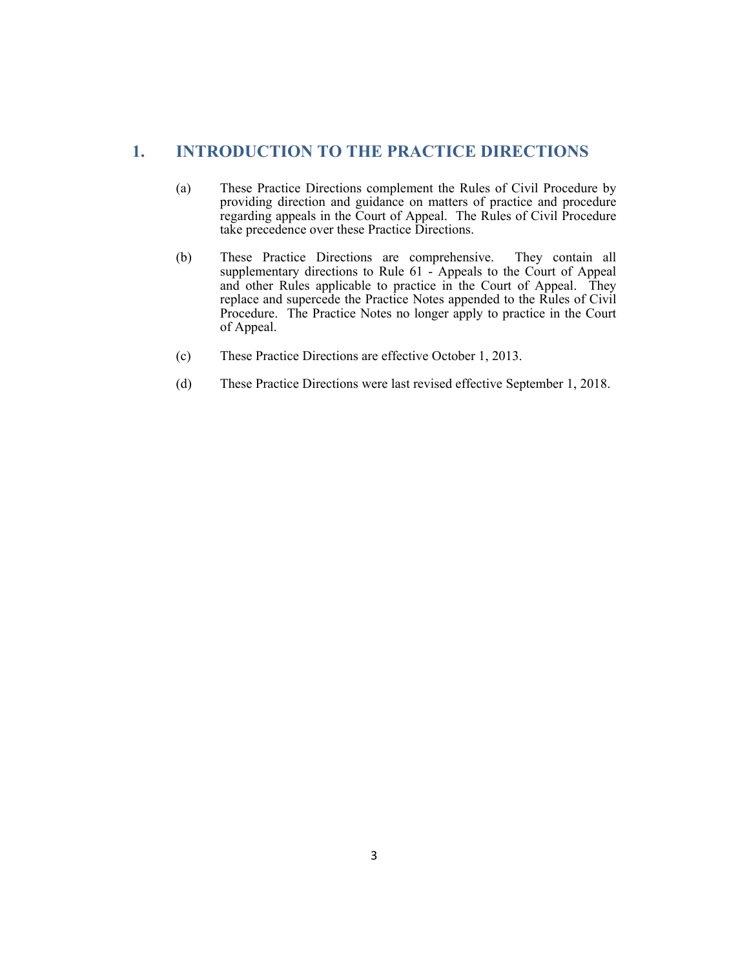# **1. INTRODUCTION TO THE PRACTICE DIRECTIONS**

- (a) These Practice Directions complement the Rules of Civil Procedure by providing direction and guidance on matters of practice and procedure regarding appeals in the Court of Appeal. The Rules of Civil Procedure take precedence over these Practice Directions.
- (b) These Practice Directions are comprehensive. They contain all supplementary directions to Rule 61 - Appeals to the Court of Appeal and other Rules applicable to practice in the Court of Appeal. They replace and supercede the Practice Notes appended to the Rules of Civil Procedure. The Practice Notes no longer apply to practice in the Court of Appeal.
- (c) These Practice Directions are effective October 1, 2013.
- (d) These Practice Directions were last revised effective September 1, 2018.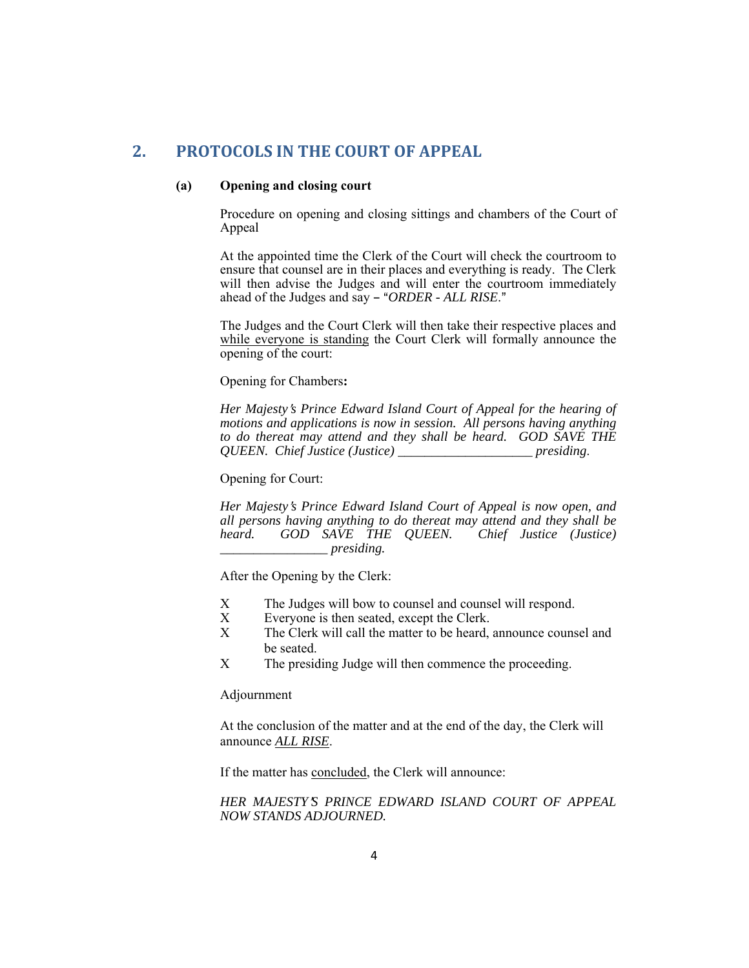# **2. PROTOCOLS IN THE COURT OF APPEAL**

### **(a) Opening and closing court**

 Procedure on opening and closing sittings and chambers of the Court of Appeal

 At the appointed time the Clerk of the Court will check the courtroom to ensure that counsel are in their places and everything is ready. The Clerk will then advise the Judges and will enter the courtroom immediately ahead of the Judges and say - "ORDER - ALL RISE."

 The Judges and the Court Clerk will then take their respective places and while everyone is standing the Court Clerk will formally announce the opening of the court:

Opening for Chambers**:** 

 *Her Majesty*=*s Prince Edward Island Court of Appeal for the hearing of motions and applications is now in session. All persons having anything to do thereat may attend and they shall be heard. GOD SAVE THE QUEEN. Chief Justice (Justice) \_\_\_\_\_\_\_\_\_\_\_\_\_\_\_\_\_\_\_\_ presiding*.

Opening for Court:

 *Her Majesty*=*s Prince Edward Island Court of Appeal is now open, and all persons having anything to do thereat may attend and they shall be heard. GOD SAVE THE QUEEN. Chief Justice (Justice) \_\_\_\_\_\_\_\_\_\_\_\_\_\_\_\_ presiding.* 

After the Opening by the Clerk:

- X The Judges will bow to counsel and counsel will respond.<br>X Everyone is then seated, except the Clerk.
- Everyone is then seated, except the Clerk.
- X The Clerk will call the matter to be heard, announce counsel and be seated.
- X The presiding Judge will then commence the proceeding.

Adjournment

 At the conclusion of the matter and at the end of the day, the Clerk will announce *ALL RISE*.

If the matter has concluded, the Clerk will announce:

 *HER MAJESTY*=*S PRINCE EDWARD ISLAND COURT OF APPEAL NOW STANDS ADJOURNED.*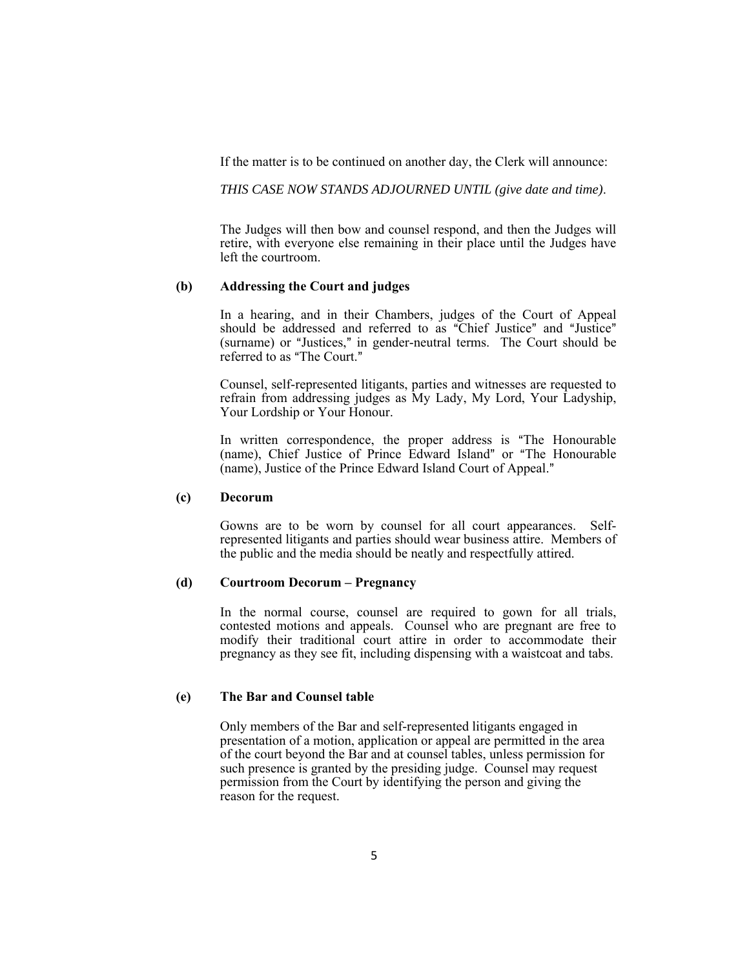If the matter is to be continued on another day, the Clerk will announce:

 *THIS CASE NOW STANDS ADJOURNED UNTIL (give date and time)*.

 The Judges will then bow and counsel respond, and then the Judges will retire, with everyone else remaining in their place until the Judges have left the courtroom.

#### **(b) Addressing the Court and judges**

 In a hearing, and in their Chambers, judges of the Court of Appeal should be addressed and referred to as "Chief Justice" and "Justice" (surname) or "Justices," in gender-neutral terms. The Court should be referred to as "The Court."

 Counsel, self-represented litigants, parties and witnesses are requested to refrain from addressing judges as My Lady, My Lord, Your Ladyship, Your Lordship or Your Honour.

In written correspondence, the proper address is "The Honourable (name), Chief Justice of Prince Edward Island" or "The Honourable (name), Justice of the Prince Edward Island Court of Appeal."

### **(c) Decorum**

 Gowns are to be worn by counsel for all court appearances. Selfrepresented litigants and parties should wear business attire. Members of the public and the media should be neatly and respectfully attired.

### **(d) Courtroom Decorum – Pregnancy**

In the normal course, counsel are required to gown for all trials, contested motions and appeals. Counsel who are pregnant are free to modify their traditional court attire in order to accommodate their pregnancy as they see fit, including dispensing with a waistcoat and tabs.

#### **(e) The Bar and Counsel table**

 Only members of the Bar and self-represented litigants engaged in presentation of a motion, application or appeal are permitted in the area of the court beyond the Bar and at counsel tables, unless permission for such presence is granted by the presiding judge. Counsel may request permission from the Court by identifying the person and giving the reason for the request.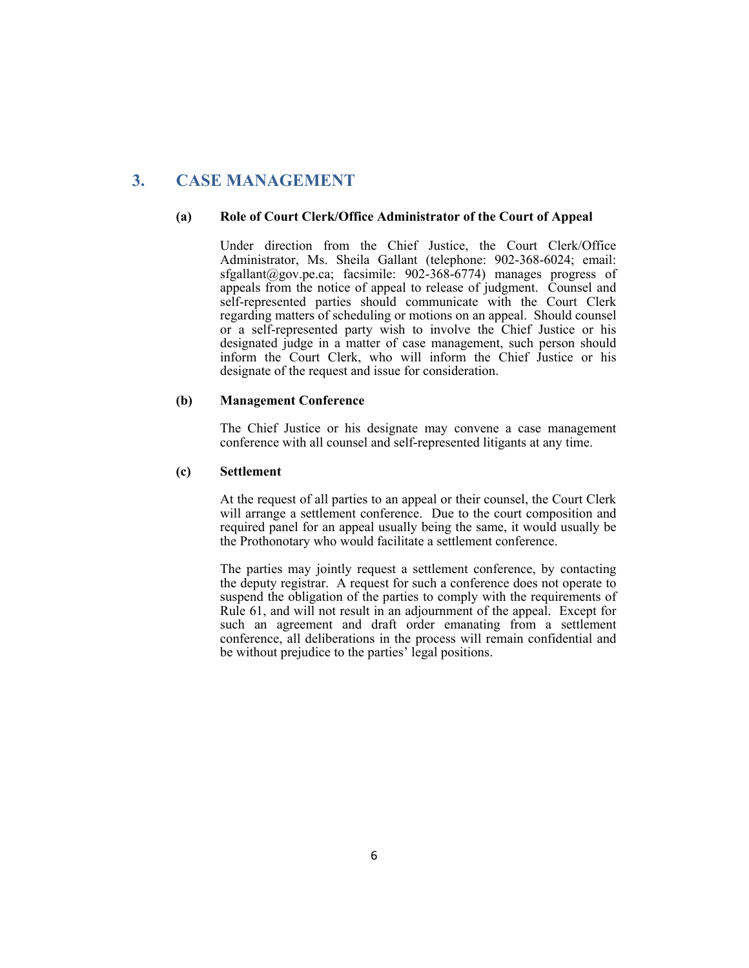# **3. CASE MANAGEMENT**

#### **(a) Role of Court Clerk/Office Administrator of the Court of Appeal**

 Under direction from the Chief Justice, the Court Clerk/Office Administrator, Ms. Sheila Gallant (telephone: 902-368-6024; email: sfgallant@gov.pe.ca; facsimile:  $902-368-6774$  manages progress of appeals from the notice of appeal to release of judgment. Counsel and self-represented parties should communicate with the Court Clerk regarding matters of scheduling or motions on an appeal. Should counsel or a self-represented party wish to involve the Chief Justice or his designated judge in a matter of case management, such person should inform the Court Clerk, who will inform the Chief Justice or his designate of the request and issue for consideration.

### **(b) Management Conference**

 The Chief Justice or his designate may convene a case management conference with all counsel and self-represented litigants at any time.

### **(c) Settlement**

 At the request of all parties to an appeal or their counsel, the Court Clerk will arrange a settlement conference. Due to the court composition and required panel for an appeal usually being the same, it would usually be the Prothonotary who would facilitate a settlement conference.

 The parties may jointly request a settlement conference, by contacting the deputy registrar. A request for such a conference does not operate to suspend the obligation of the parties to comply with the requirements of Rule 61, and will not result in an adjournment of the appeal. Except for such an agreement and draft order emanating from a settlement conference, all deliberations in the process will remain confidential and be without prejudice to the parties' legal positions.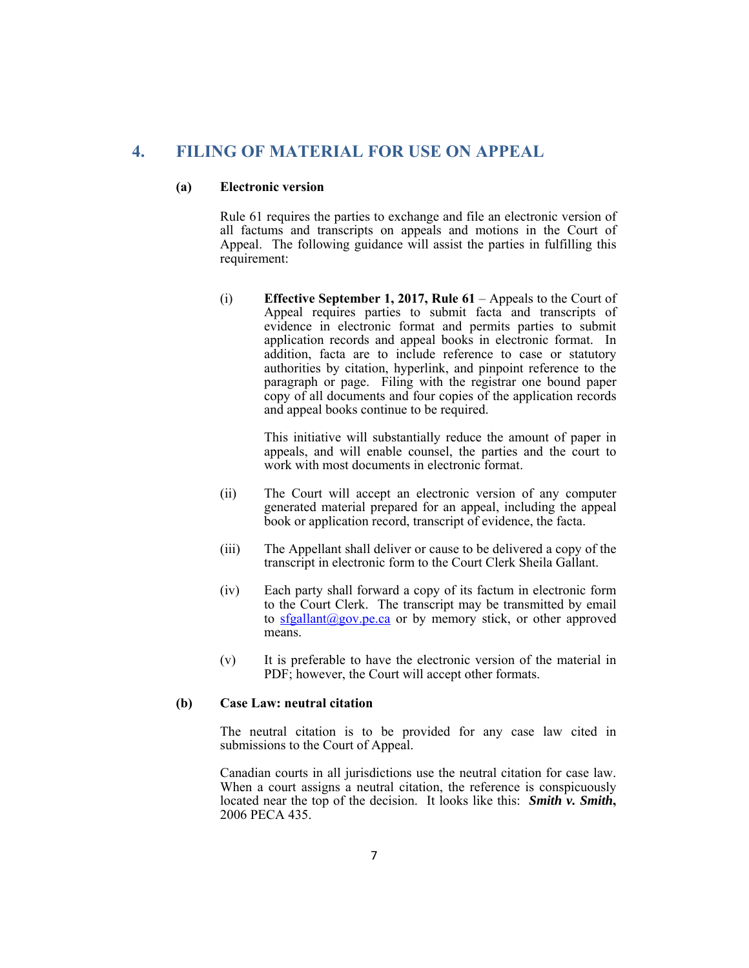# **4. FILING OF MATERIAL FOR USE ON APPEAL**

#### **(a) Electronic version**

 Rule 61 requires the parties to exchange and file an electronic version of all factums and transcripts on appeals and motions in the Court of Appeal. The following guidance will assist the parties in fulfilling this requirement:

(i) **Effective September 1, 2017, Rule 61** – Appeals to the Court of Appeal requires parties to submit facta and transcripts of evidence in electronic format and permits parties to submit application records and appeal books in electronic format. In addition, facta are to include reference to case or statutory authorities by citation, hyperlink, and pinpoint reference to the paragraph or page. Filing with the registrar one bound paper copy of all documents and four copies of the application records and appeal books continue to be required.

> This initiative will substantially reduce the amount of paper in appeals, and will enable counsel, the parties and the court to work with most documents in electronic format.

- (ii) The Court will accept an electronic version of any computer generated material prepared for an appeal, including the appeal book or application record, transcript of evidence, the facta.
- (iii) The Appellant shall deliver or cause to be delivered a copy of the transcript in electronic form to the Court Clerk Sheila Gallant.
- (iv) Each party shall forward a copy of its factum in electronic form to the Court Clerk. The transcript may be transmitted by email to sfgallant@gov.pe.ca or by memory stick, or other approved means.
- (v) It is preferable to have the electronic version of the material in PDF; however, the Court will accept other formats.

#### **(b) Case Law: neutral citation**

 The neutral citation is to be provided for any case law cited in submissions to the Court of Appeal.

 Canadian courts in all jurisdictions use the neutral citation for case law. When a court assigns a neutral citation, the reference is conspicuously located near the top of the decision. It looks like this: *Smith v. Smith***,**  2006 PECA 435.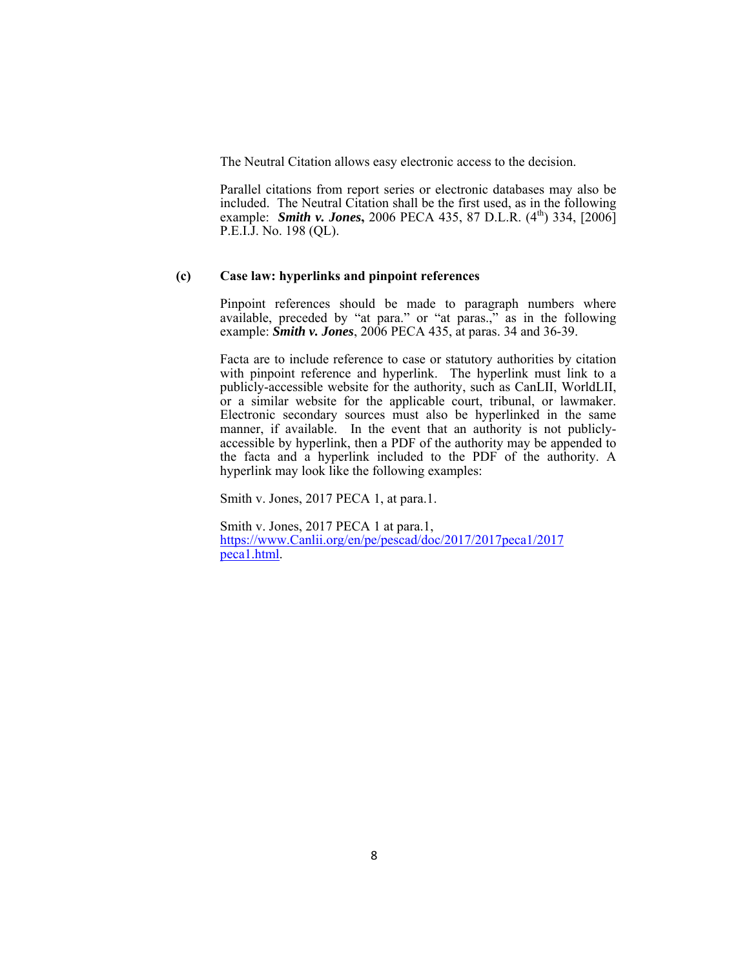The Neutral Citation allows easy electronic access to the decision.

 Parallel citations from report series or electronic databases may also be included. The Neutral Citation shall be the first used, as in the following example: *Smith v. Jones*, 2006 PECA 435, 87 D.L.R. (4<sup>th</sup>) 334, [2006] P.E.I.J. No. 198 (QL).

#### **(c) Case law: hyperlinks and pinpoint references**

 Pinpoint references should be made to paragraph numbers where available, preceded by "at para." or "at paras.," as in the following example: *Smith v. Jones*, 2006 PECA 435, at paras. 34 and 36-39.

Facta are to include reference to case or statutory authorities by citation with pinpoint reference and hyperlink. The hyperlink must link to a publicly-accessible website for the authority, such as CanLII, WorldLII, or a similar website for the applicable court, tribunal, or lawmaker. Electronic secondary sources must also be hyperlinked in the same manner, if available. In the event that an authority is not publiclyaccessible by hyperlink, then a PDF of the authority may be appended to the facta and a hyperlink included to the PDF of the authority. A hyperlink may look like the following examples:

Smith v. Jones, 2017 PECA 1, at para.1.

Smith v. Jones, 2017 PECA 1 at para.1, https://www.Canlii.org/en/pe/pescad/doc/2017/2017peca1/2017 peca1.html.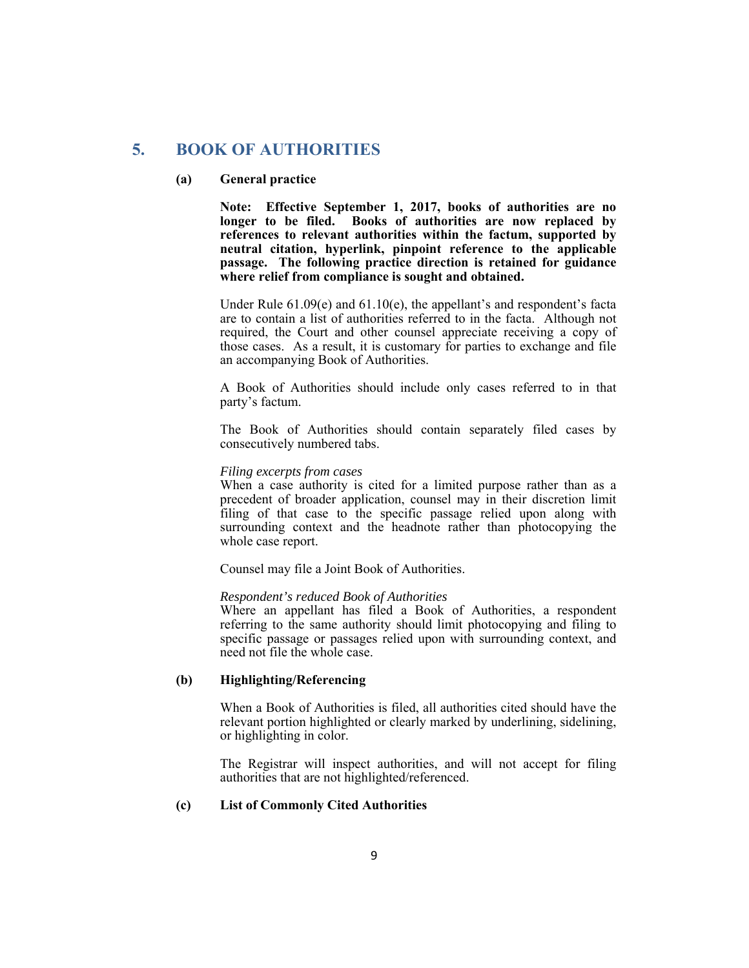# **5. BOOK OF AUTHORITIES**

#### **(a) General practice**

**Note: Effective September 1, 2017, books of authorities are no longer to be filed. Books of authorities are now replaced by references to relevant authorities within the factum, supported by neutral citation, hyperlink, pinpoint reference to the applicable passage. The following practice direction is retained for guidance where relief from compliance is sought and obtained.** 

Under Rule 61.09(e) and 61.10(e), the appellant's and respondent's facta are to contain a list of authorities referred to in the facta. Although not required, the Court and other counsel appreciate receiving a copy of those cases. As a result, it is customary for parties to exchange and file an accompanying Book of Authorities.

 A Book of Authorities should include only cases referred to in that party's factum.

 The Book of Authorities should contain separately filed cases by consecutively numbered tabs.

#### *Filing excerpts from cases*

 When a case authority is cited for a limited purpose rather than as a precedent of broader application, counsel may in their discretion limit filing of that case to the specific passage relied upon along with surrounding context and the headnote rather than photocopying the whole case report.

Counsel may file a Joint Book of Authorities.

#### *Respondent's reduced Book of Authorities*

 Where an appellant has filed a Book of Authorities, a respondent referring to the same authority should limit photocopying and filing to specific passage or passages relied upon with surrounding context, and need not file the whole case.

#### **(b) Highlighting/Referencing**

 When a Book of Authorities is filed, all authorities cited should have the relevant portion highlighted or clearly marked by underlining, sidelining, or highlighting in color.

 The Registrar will inspect authorities, and will not accept for filing authorities that are not highlighted/referenced.

### **(c) List of Commonly Cited Authorities**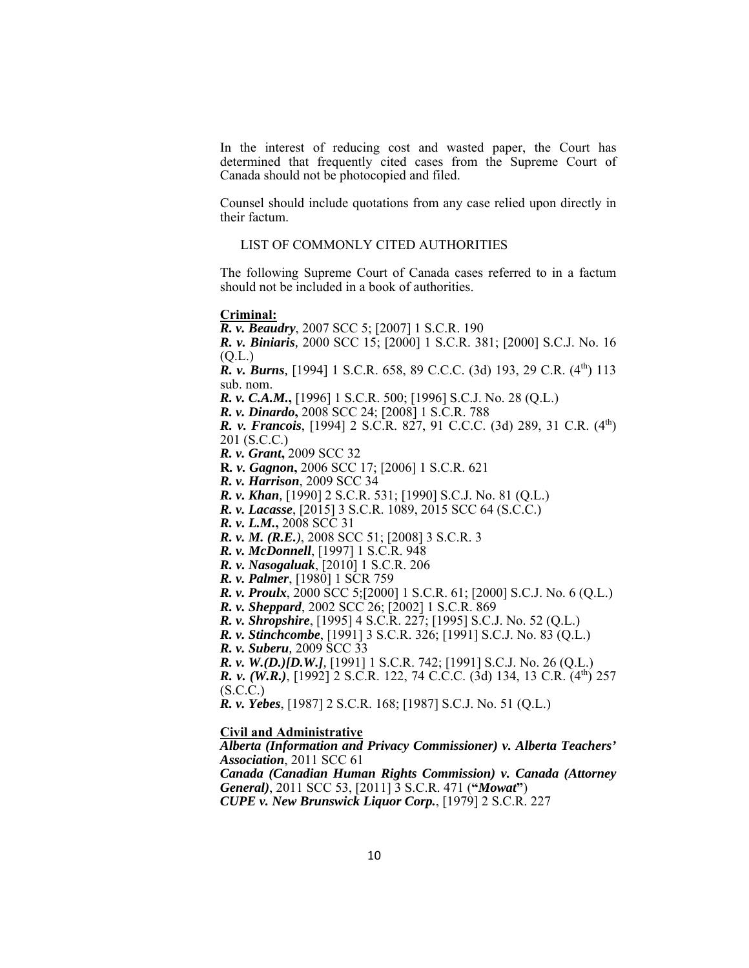In the interest of reducing cost and wasted paper, the Court has determined that frequently cited cases from the Supreme Court of Canada should not be photocopied and filed.

 Counsel should include quotations from any case relied upon directly in their factum.

#### LIST OF COMMONLY CITED AUTHORITIES

 The following Supreme Court of Canada cases referred to in a factum should not be included in a book of authorities.

#### **Criminal:**

*R. v. Beaudry*, 2007 SCC 5; [2007] 1 S.C.R. 190 *R. v. Biniaris,* 2000 SCC 15; [2000] 1 S.C.R. 381; [2000] S.C.J. No. 16 (Q.L.)  *R. v. Burns,* [1994] 1 S.C.R. 658, 89 C.C.C. (3d) 193, 29 C.R. (4th) 113 sub. nom. *R. v. C.A.M.***,** [1996] 1 S.C.R. 500; [1996] S.C.J. No. 28 (Q.L.) *R. v. Dinardo***,** 2008 SCC 24; [2008] 1 S.C.R. 788 *R. v. Francois*, [1994] 2 S.C.R. 827, 91 C.C.C. (3d) 289, 31 C.R. (4<sup>th</sup>) 201 (S.C.C.) *R. v. Grant***,** 2009 SCC 32  **R***. v. Gagnon***,** 2006 SCC 17; [2006] 1 S.C.R. 621 *R. v. Harrison*, 2009 SCC 34 *R. v. Khan,* [1990] 2 S.C.R. 531; [1990] S.C.J. No. 81 (Q.L.) *R. v. Lacasse*, [2015] 3 S.C.R. 1089, 2015 SCC 64 (S.C.C.) *R. v. L.M.***,** 2008 SCC 31 *R. v. M. (R.E.)*, 2008 SCC 51; [2008] 3 S.C.R. 3 *R. v. McDonnell*, [1997] 1 S.C.R. 948 *R. v. Nasogaluak*, [2010] 1 S.C.R. 206 *R. v. Palmer*, [1980] 1 SCR 759 *R. v. Proulx*, 2000 SCC 5;[2000] 1 S.C.R. 61; [2000] S.C.J. No. 6 (Q.L.) *R. v. Sheppard*, 2002 SCC 26; [2002] 1 S.C.R. 869 *R. v. Shropshire*, [1995] 4 S.C.R. 227; [1995] S.C.J. No. 52 (Q.L.) *R. v. Stinchcombe*, [1991] 3 S.C.R. 326; [1991] S.C.J. No. 83 (Q.L.) *R. v. Suberu,* 2009 SCC 33 *R. v. W.(D.)[D.W.],* [1991] 1 S.C.R. 742; [1991] S.C.J. No. 26 (Q.L.) *R. v. (W.R.)*, [1992] 2 S.C.R. 122, 74 C.C.C. (3d) 134, 13 C.R. (4<sup>th</sup>) 257  $(S.C.C.)$ *R. v. Yebes*, [1987] 2 S.C.R. 168; [1987] S.C.J. No. 51 (Q.L.) **Civil and Administrative** *Alberta (Information and Privacy Commissioner) v. Alberta Teachers'* 

*Association*, 2011 SCC 61 *Canada (Canadian Human Rights Commission) v. Canada (Attorney General)*, 2011 SCC 53, [2011] 3 S.C.R. 471 (**"***Mowat***"**)  *CUPE v. New Brunswick Liquor Corp.*, [1979] 2 S.C.R. 227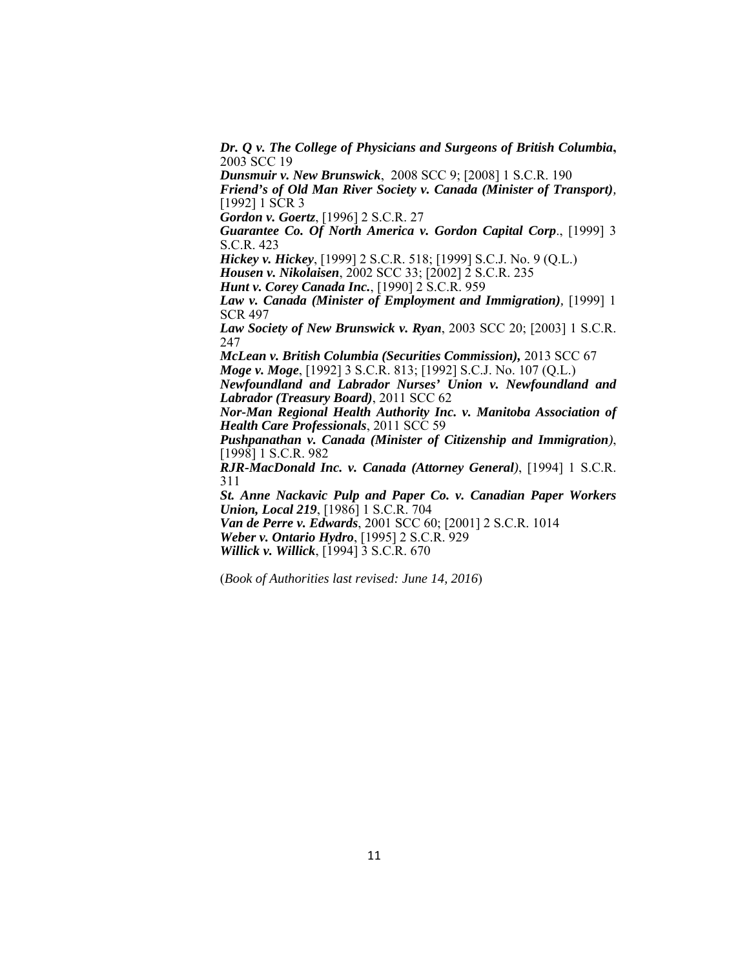*Dr. Q v. The College of Physicians and Surgeons of British Columbia***,** 2003 SCC 19

*Dunsmuir v. New Brunswick*, 2008 SCC 9; [2008] 1 S.C.R. 190

*Friend's of Old Man River Society v. Canada (Minister of Transport),* [1992] 1 SCR 3

*Gordon v. Goertz*, [1996] 2 S.C.R. 27

*Guarantee Co. Of North America v. Gordon Capital Corp*., [1999] 3 S.C.R. 423

*Hickey v. Hickey*, [1999] 2 S.C.R. 518; [1999] S.C.J. No. 9 (Q.L.) *Housen v. Nikolaisen*, 2002 SCC 33; [2002] 2 S.C.R. 235

 *Hunt v. Corey Canada Inc.*, [1990] 2 S.C.R. 959

*Law v. Canada (Minister of Employment and Immigration),* [1999] 1 SCR 497

*Law Society of New Brunswick v. Ryan*, 2003 SCC 20; [2003] 1 S.C.R. 247

 *McLean v. British Columbia (Securities Commission),* 2013 SCC 67 *Moge v. Moge*, [1992] 3 S.C.R. 813; [1992] S.C.J. No. 107 (Q.L.)

*Newfoundland and Labrador Nurses' Union v. Newfoundland and Labrador (Treasury Board)*, 2011 SCC 62

 *Nor-Man Regional Health Authority Inc. v. Manitoba Association of Health Care Professionals*, 2011 SCC 59

 *Pushpanathan v. Canada (Minister of Citizenship and Immigration)*, [1998] 1 S.C.R. 982

 *RJR-MacDonald Inc. v. Canada (Attorney General)*, [1994] 1 S.C.R. 311

 *St. Anne Nackavic Pulp and Paper Co. v. Canadian Paper Workers Union, Local 219*, [1986] 1 S.C.R. 704

*Van de Perre v. Edwards*, 2001 SCC 60; [2001] 2 S.C.R. 1014  *Weber v. Ontario Hydro*, [1995] 2 S.C.R. 929 *Willick v. Willick*, [1994] 3 S.C.R. 670

(*Book of Authorities last revised: June 14, 2016*)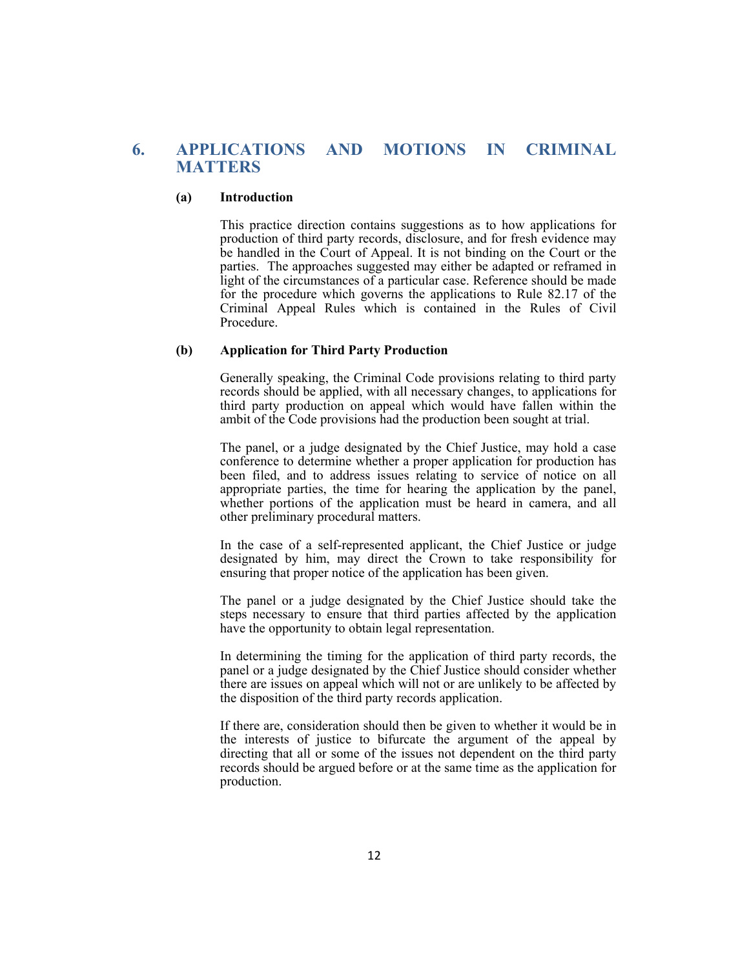# **6. APPLICATIONS AND MOTIONS IN CRIMINAL MATTERS**

#### **(a) Introduction**

This practice direction contains suggestions as to how applications for production of third party records, disclosure, and for fresh evidence may be handled in the Court of Appeal. It is not binding on the Court or the parties. The approaches suggested may either be adapted or reframed in light of the circumstances of a particular case. Reference should be made for the procedure which governs the applications to Rule 82.17 of the Criminal Appeal Rules which is contained in the Rules of Civil Procedure.

#### **(b) Application for Third Party Production**

 Generally speaking, the Criminal Code provisions relating to third party records should be applied, with all necessary changes, to applications for third party production on appeal which would have fallen within the ambit of the Code provisions had the production been sought at trial.

 The panel, or a judge designated by the Chief Justice, may hold a case conference to determine whether a proper application for production has been filed, and to address issues relating to service of notice on all appropriate parties, the time for hearing the application by the panel, whether portions of the application must be heard in camera, and all other preliminary procedural matters.

 In the case of a self-represented applicant, the Chief Justice or judge designated by him, may direct the Crown to take responsibility for ensuring that proper notice of the application has been given.

 The panel or a judge designated by the Chief Justice should take the steps necessary to ensure that third parties affected by the application have the opportunity to obtain legal representation.

 In determining the timing for the application of third party records, the panel or a judge designated by the Chief Justice should consider whether there are issues on appeal which will not or are unlikely to be affected by the disposition of the third party records application.

 If there are, consideration should then be given to whether it would be in the interests of justice to bifurcate the argument of the appeal by directing that all or some of the issues not dependent on the third party records should be argued before or at the same time as the application for production.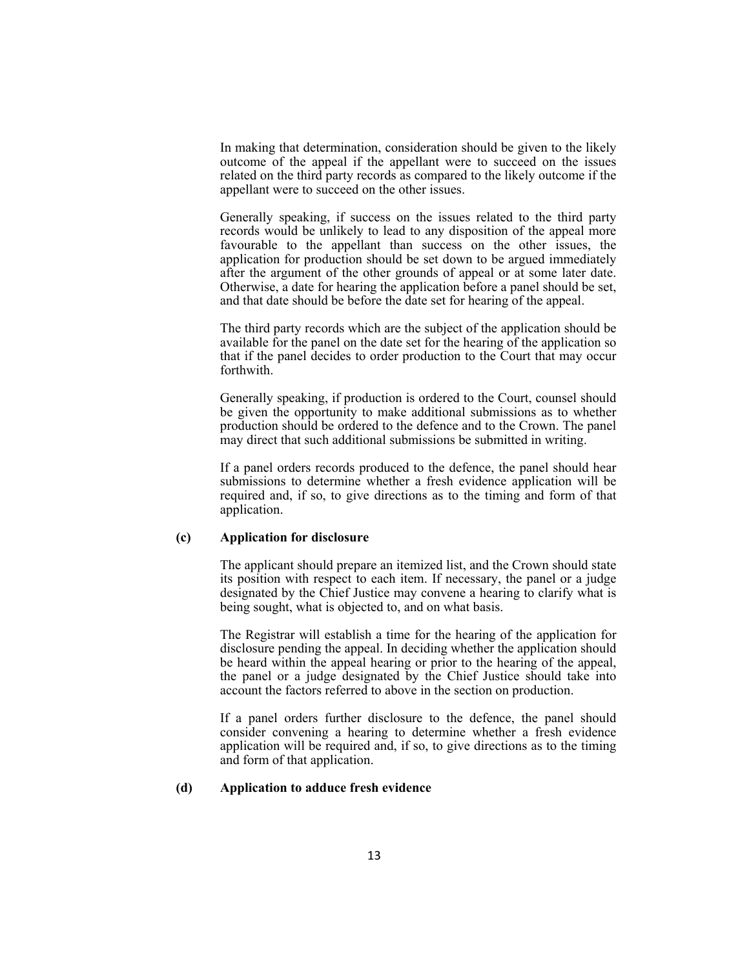In making that determination, consideration should be given to the likely outcome of the appeal if the appellant were to succeed on the issues related on the third party records as compared to the likely outcome if the appellant were to succeed on the other issues.

 Generally speaking, if success on the issues related to the third party records would be unlikely to lead to any disposition of the appeal more favourable to the appellant than success on the other issues, the application for production should be set down to be argued immediately after the argument of the other grounds of appeal or at some later date. Otherwise, a date for hearing the application before a panel should be set, and that date should be before the date set for hearing of the appeal.

 The third party records which are the subject of the application should be available for the panel on the date set for the hearing of the application so that if the panel decides to order production to the Court that may occur forthwith.

 Generally speaking, if production is ordered to the Court, counsel should be given the opportunity to make additional submissions as to whether production should be ordered to the defence and to the Crown. The panel may direct that such additional submissions be submitted in writing.

 If a panel orders records produced to the defence, the panel should hear submissions to determine whether a fresh evidence application will be required and, if so, to give directions as to the timing and form of that application.

#### **(c) Application for disclosure**

 The applicant should prepare an itemized list, and the Crown should state its position with respect to each item. If necessary, the panel or a judge designated by the Chief Justice may convene a hearing to clarify what is being sought, what is objected to, and on what basis.

 The Registrar will establish a time for the hearing of the application for disclosure pending the appeal. In deciding whether the application should be heard within the appeal hearing or prior to the hearing of the appeal, the panel or a judge designated by the Chief Justice should take into account the factors referred to above in the section on production.

 If a panel orders further disclosure to the defence, the panel should consider convening a hearing to determine whether a fresh evidence application will be required and, if so, to give directions as to the timing and form of that application.

### **(d) Application to adduce fresh evidence**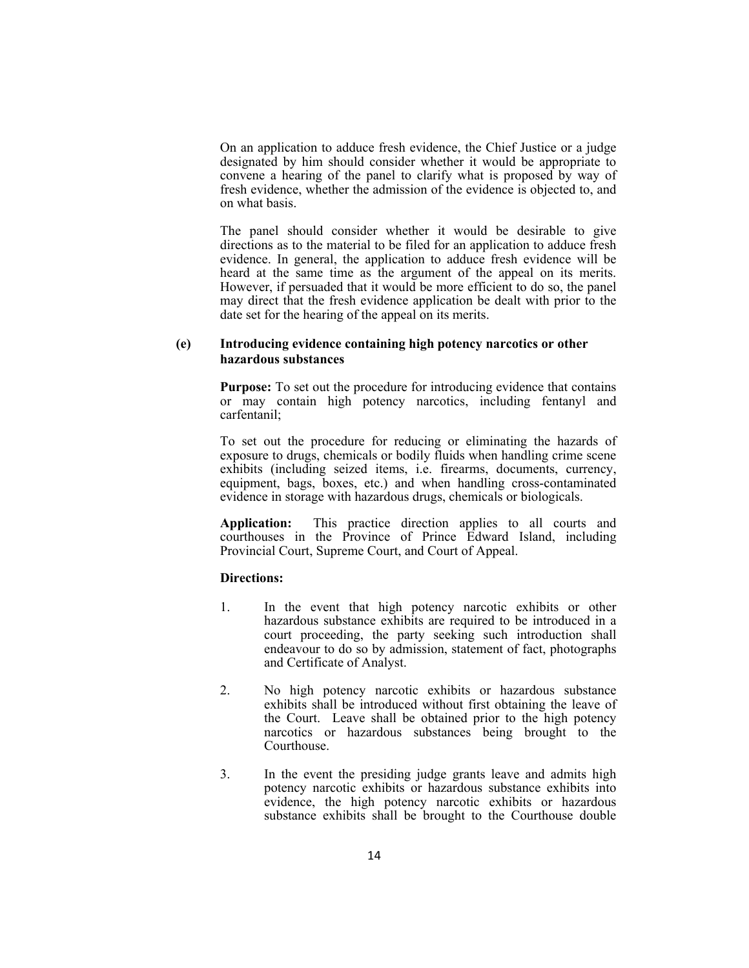On an application to adduce fresh evidence, the Chief Justice or a judge designated by him should consider whether it would be appropriate to convene a hearing of the panel to clarify what is proposed by way of fresh evidence, whether the admission of the evidence is objected to, and on what basis.

 The panel should consider whether it would be desirable to give directions as to the material to be filed for an application to adduce fresh evidence. In general, the application to adduce fresh evidence will be heard at the same time as the argument of the appeal on its merits. However, if persuaded that it would be more efficient to do so, the panel may direct that the fresh evidence application be dealt with prior to the date set for the hearing of the appeal on its merits.

### **(e) Introducing evidence containing high potency narcotics or other hazardous substances**

**Purpose:** To set out the procedure for introducing evidence that contains or may contain high potency narcotics, including fentanyl and carfentanil;

To set out the procedure for reducing or eliminating the hazards of exposure to drugs, chemicals or bodily fluids when handling crime scene exhibits (including seized items, i.e. firearms, documents, currency, equipment, bags, boxes, etc.) and when handling cross-contaminated evidence in storage with hazardous drugs, chemicals or biologicals.

**Application:** This practice direction applies to all courts and courthouses in the Province of Prince Edward Island, including Provincial Court, Supreme Court, and Court of Appeal.

#### **Directions:**

- 1. In the event that high potency narcotic exhibits or other hazardous substance exhibits are required to be introduced in a court proceeding, the party seeking such introduction shall endeavour to do so by admission, statement of fact, photographs and Certificate of Analyst.
- 2. No high potency narcotic exhibits or hazardous substance exhibits shall be introduced without first obtaining the leave of the Court. Leave shall be obtained prior to the high potency narcotics or hazardous substances being brought to the Courthouse.
- 3. In the event the presiding judge grants leave and admits high potency narcotic exhibits or hazardous substance exhibits into evidence, the high potency narcotic exhibits or hazardous substance exhibits shall be brought to the Courthouse double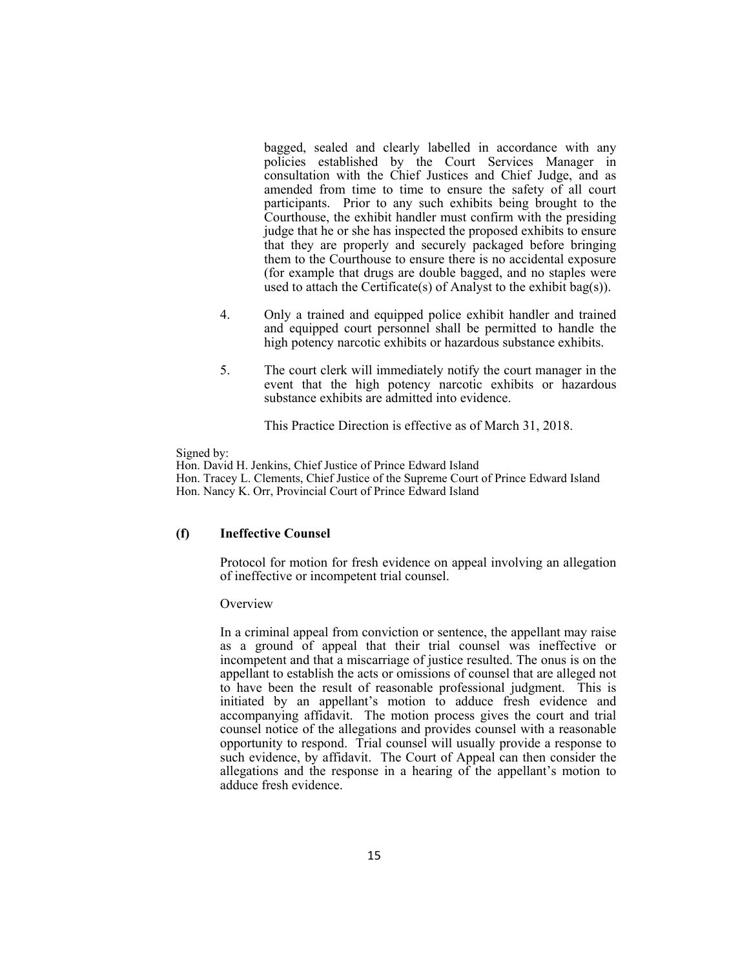bagged, sealed and clearly labelled in accordance with any policies established by the Court Services Manager in consultation with the Chief Justices and Chief Judge, and as amended from time to time to ensure the safety of all court participants. Prior to any such exhibits being brought to the Courthouse, the exhibit handler must confirm with the presiding judge that he or she has inspected the proposed exhibits to ensure that they are properly and securely packaged before bringing them to the Courthouse to ensure there is no accidental exposure (for example that drugs are double bagged, and no staples were used to attach the Certificate(s) of Analyst to the exhibit bag(s)).

- 4. Only a trained and equipped police exhibit handler and trained and equipped court personnel shall be permitted to handle the high potency narcotic exhibits or hazardous substance exhibits.
- 5. The court clerk will immediately notify the court manager in the event that the high potency narcotic exhibits or hazardous substance exhibits are admitted into evidence.

This Practice Direction is effective as of March 31, 2018.

Signed by:

Hon. David H. Jenkins, Chief Justice of Prince Edward Island Hon. Tracey L. Clements, Chief Justice of the Supreme Court of Prince Edward Island Hon. Nancy K. Orr, Provincial Court of Prince Edward Island

### **(f) Ineffective Counsel**

 Protocol for motion for fresh evidence on appeal involving an allegation of ineffective or incompetent trial counsel.

#### **Overview**

 In a criminal appeal from conviction or sentence, the appellant may raise as a ground of appeal that their trial counsel was ineffective or incompetent and that a miscarriage of justice resulted. The onus is on the appellant to establish the acts or omissions of counsel that are alleged not to have been the result of reasonable professional judgment. This is initiated by an appellant's motion to adduce fresh evidence and accompanying affidavit. The motion process gives the court and trial counsel notice of the allegations and provides counsel with a reasonable opportunity to respond. Trial counsel will usually provide a response to such evidence, by affidavit. The Court of Appeal can then consider the allegations and the response in a hearing of the appellant's motion to adduce fresh evidence.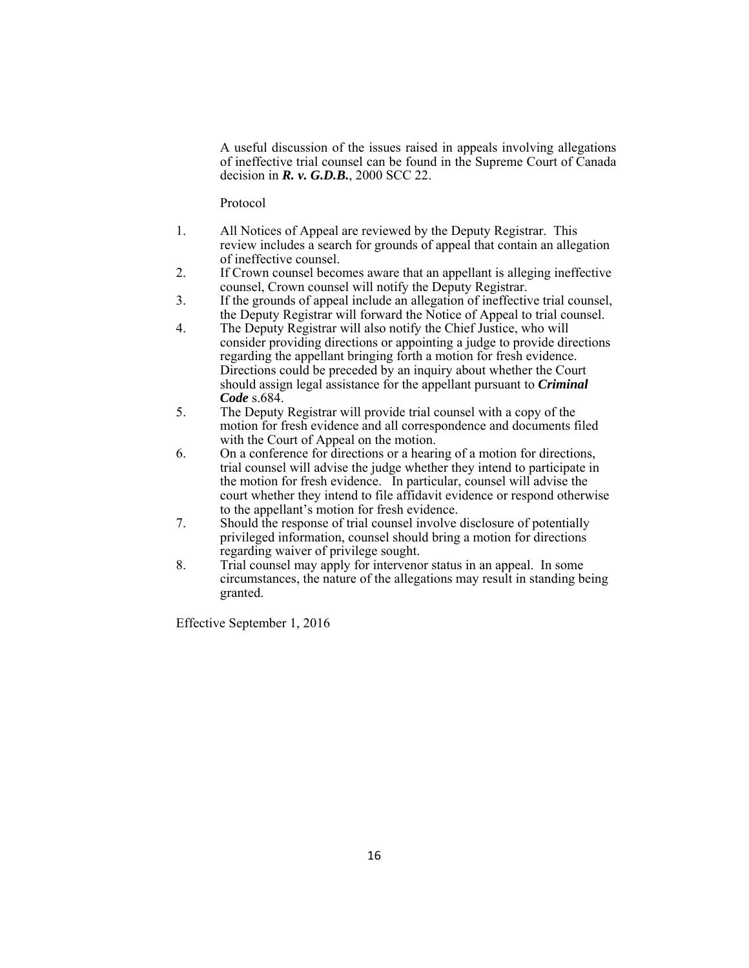A useful discussion of the issues raised in appeals involving allegations of ineffective trial counsel can be found in the Supreme Court of Canada decision in *R. v. G.D.B.*, 2000 SCC 22.

Protocol

- 1. All Notices of Appeal are reviewed by the Deputy Registrar. This review includes a search for grounds of appeal that contain an allegation of ineffective counsel.
- 2. If Crown counsel becomes aware that an appellant is alleging ineffective counsel, Crown counsel will notify the Deputy Registrar.
- 3. If the grounds of appeal include an allegation of ineffective trial counsel, the Deputy Registrar will forward the Notice of Appeal to trial counsel.
- 4. The Deputy Registrar will also notify the Chief Justice, who will consider providing directions or appointing a judge to provide directions regarding the appellant bringing forth a motion for fresh evidence. Directions could be preceded by an inquiry about whether the Court should assign legal assistance for the appellant pursuant to *Criminal Code* s.684.
- 5. The Deputy Registrar will provide trial counsel with a copy of the motion for fresh evidence and all correspondence and documents filed with the Court of Appeal on the motion.
- 6. On a conference for directions or a hearing of a motion for directions, trial counsel will advise the judge whether they intend to participate in the motion for fresh evidence. In particular, counsel will advise the court whether they intend to file affidavit evidence or respond otherwise to the appellant's motion for fresh evidence.
- 7. Should the response of trial counsel involve disclosure of potentially privileged information, counsel should bring a motion for directions regarding waiver of privilege sought.
- 8. Trial counsel may apply for intervenor status in an appeal. In some circumstances, the nature of the allegations may result in standing being granted.

Effective September 1, 2016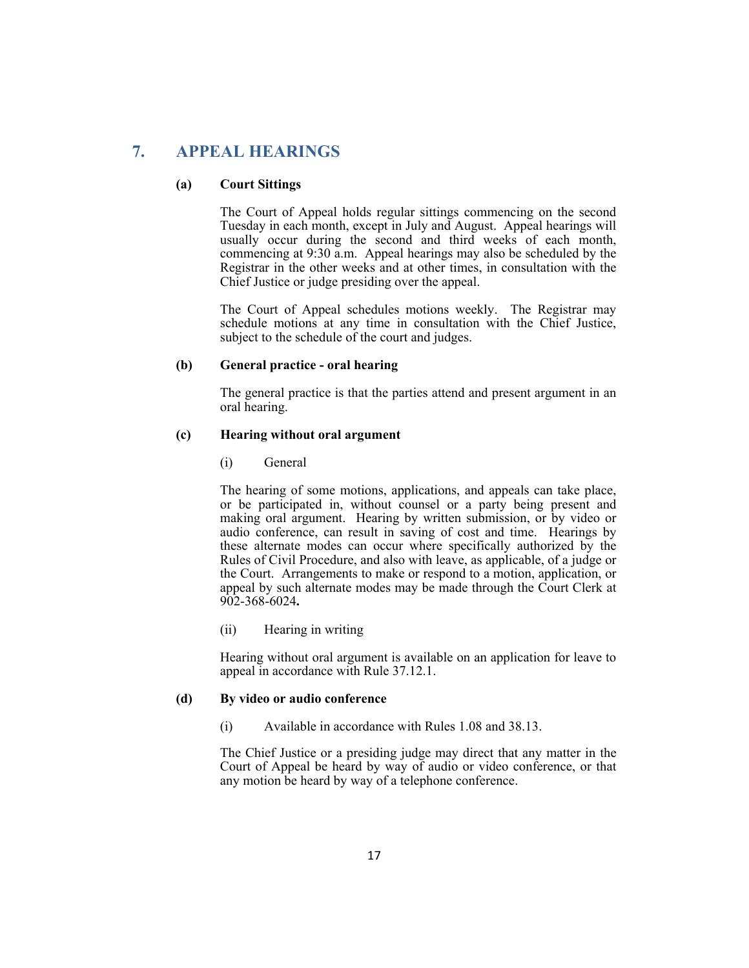# **7. APPEAL HEARINGS**

### **(a) Court Sittings**

The Court of Appeal holds regular sittings commencing on the second Tuesday in each month, except in July and August. Appeal hearings will usually occur during the second and third weeks of each month, commencing at 9:30 a.m. Appeal hearings may also be scheduled by the Registrar in the other weeks and at other times, in consultation with the Chief Justice or judge presiding over the appeal.

 The Court of Appeal schedules motions weekly. The Registrar may schedule motions at any time in consultation with the Chief Justice, subject to the schedule of the court and judges.

### **(b) General practice - oral hearing**

 The general practice is that the parties attend and present argument in an oral hearing.

#### **(c) Hearing without oral argument**

(i) General

 The hearing of some motions, applications, and appeals can take place, or be participated in, without counsel or a party being present and making oral argument. Hearing by written submission, or by video or audio conference, can result in saving of cost and time. Hearings by these alternate modes can occur where specifically authorized by the Rules of Civil Procedure, and also with leave, as applicable, of a judge or the Court. Arrangements to make or respond to a motion, application, or appeal by such alternate modes may be made through the Court Clerk at 902-368-6024**.** 

(ii) Hearing in writing

 Hearing without oral argument is available on an application for leave to appeal in accordance with Rule 37.12.1.

### **(d) By video or audio conference**

(i) Available in accordance with Rules 1.08 and 38.13.

 The Chief Justice or a presiding judge may direct that any matter in the Court of Appeal be heard by way of audio or video conference, or that any motion be heard by way of a telephone conference.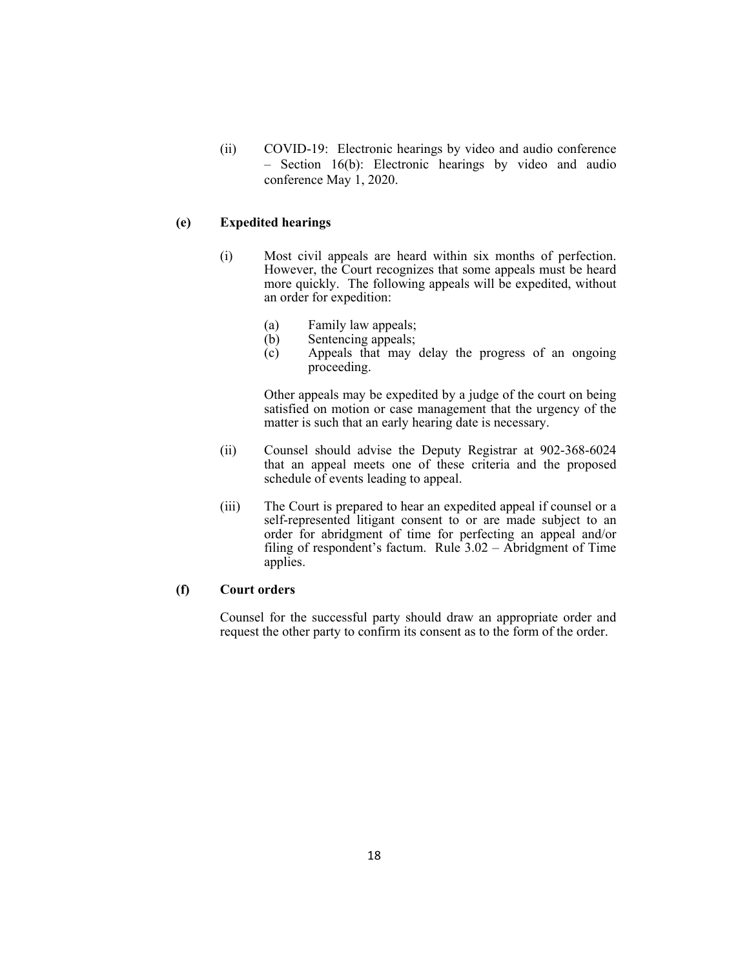(ii) COVID-19: Electronic hearings by video and audio conference – Section 16(b): Electronic hearings by video and audio conference May 1, 2020.

### **(e) Expedited hearings**

- (i) Most civil appeals are heard within six months of perfection. However, the Court recognizes that some appeals must be heard more quickly. The following appeals will be expedited, without an order for expedition:
	- (a) Family law appeals;
	- (b) Sentencing appeals;
	- (c) Appeals that may delay the progress of an ongoing proceeding.

 Other appeals may be expedited by a judge of the court on being satisfied on motion or case management that the urgency of the matter is such that an early hearing date is necessary.

- (ii) Counsel should advise the Deputy Registrar at 902-368-6024 that an appeal meets one of these criteria and the proposed schedule of events leading to appeal.
- (iii) The Court is prepared to hear an expedited appeal if counsel or a self-represented litigant consent to or are made subject to an order for abridgment of time for perfecting an appeal and/or filing of respondent's factum. Rule 3.02 – Abridgment of Time applies.

#### **(f) Court orders**

 Counsel for the successful party should draw an appropriate order and request the other party to confirm its consent as to the form of the order.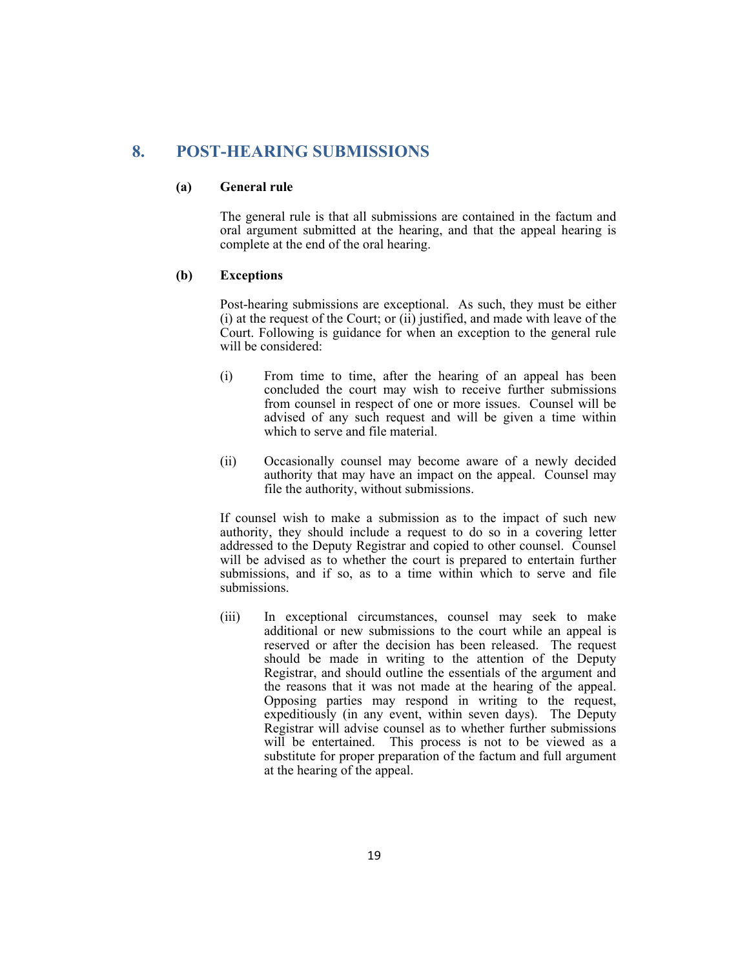# **8. POST-HEARING SUBMISSIONS**

### **(a) General rule**

The general rule is that all submissions are contained in the factum and oral argument submitted at the hearing, and that the appeal hearing is complete at the end of the oral hearing.

### **(b) Exceptions**

 Post-hearing submissions are exceptional. As such, they must be either (i) at the request of the Court; or (ii) justified, and made with leave of the Court. Following is guidance for when an exception to the general rule will be considered:

- (i) From time to time, after the hearing of an appeal has been concluded the court may wish to receive further submissions from counsel in respect of one or more issues. Counsel will be advised of any such request and will be given a time within which to serve and file material.
- (ii) Occasionally counsel may become aware of a newly decided authority that may have an impact on the appeal. Counsel may file the authority, without submissions.

If counsel wish to make a submission as to the impact of such new authority, they should include a request to do so in a covering letter addressed to the Deputy Registrar and copied to other counsel. Counsel will be advised as to whether the court is prepared to entertain further submissions, and if so, as to a time within which to serve and file submissions.

(iii) In exceptional circumstances, counsel may seek to make additional or new submissions to the court while an appeal is reserved or after the decision has been released. The request should be made in writing to the attention of the Deputy Registrar, and should outline the essentials of the argument and the reasons that it was not made at the hearing of the appeal. Opposing parties may respond in writing to the request, expeditiously (in any event, within seven days). The Deputy Registrar will advise counsel as to whether further submissions will be entertained. This process is not to be viewed as a substitute for proper preparation of the factum and full argument at the hearing of the appeal.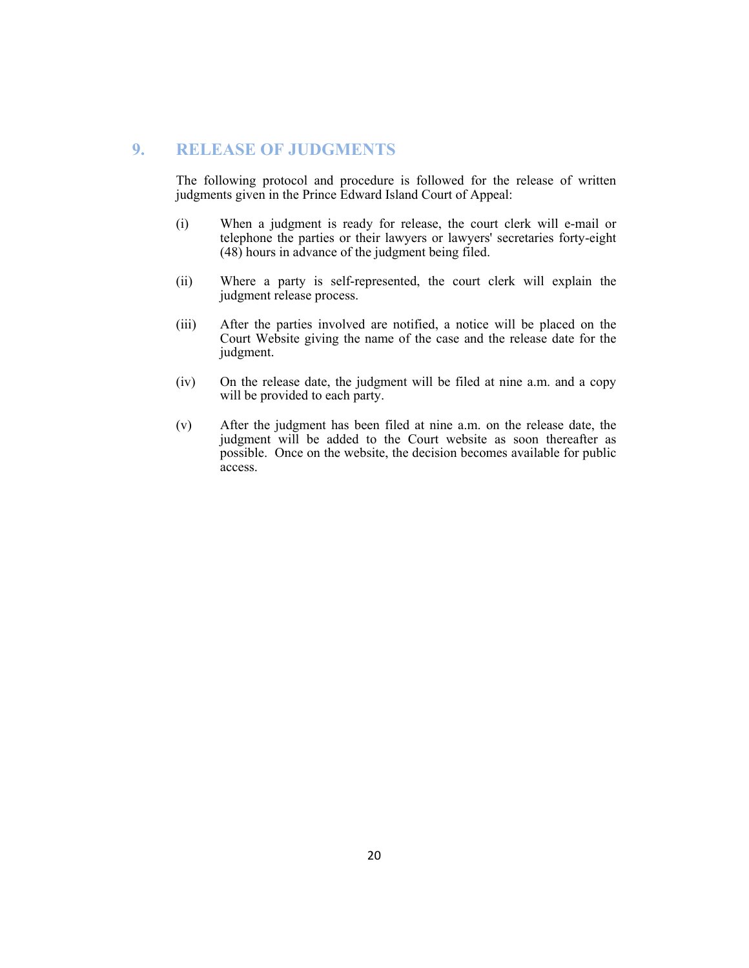# **9. RELEASE OF JUDGMENTS**

The following protocol and procedure is followed for the release of written judgments given in the Prince Edward Island Court of Appeal:

- (i) When a judgment is ready for release, the court clerk will e-mail or telephone the parties or their lawyers or lawyers' secretaries forty-eight (48) hours in advance of the judgment being filed.
- (ii) Where a party is self-represented, the court clerk will explain the judgment release process.
- (iii) After the parties involved are notified, a notice will be placed on the Court Website giving the name of the case and the release date for the judgment.
- (iv) On the release date, the judgment will be filed at nine a.m. and a copy will be provided to each party.
- (v) After the judgment has been filed at nine a.m. on the release date, the judgment will be added to the Court website as soon thereafter as possible. Once on the website, the decision becomes available for public access.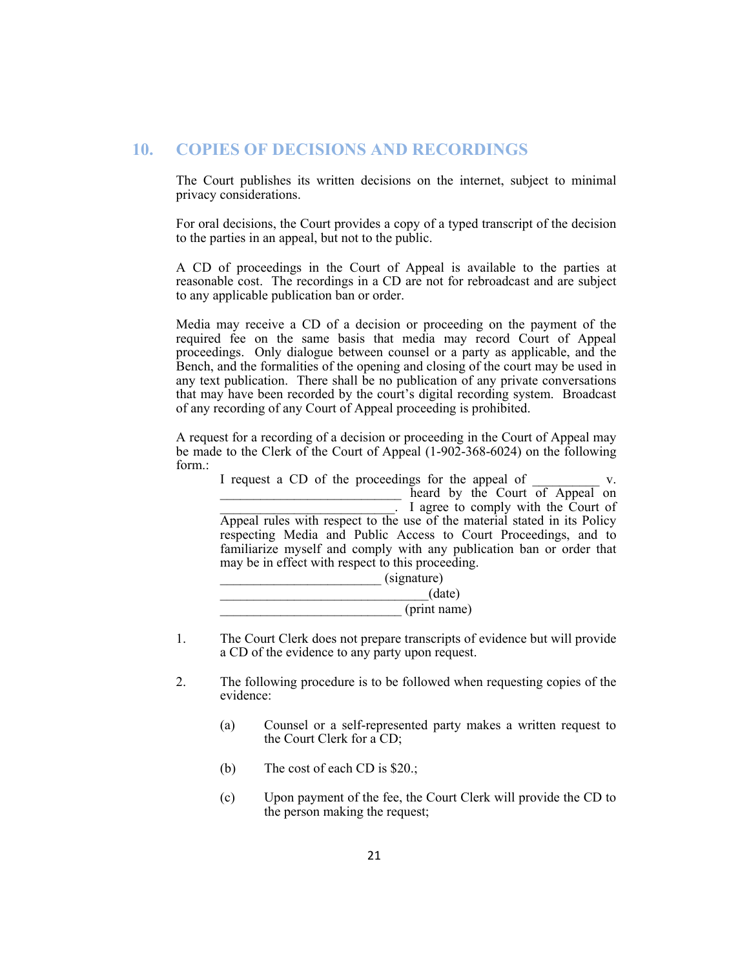# **10. COPIES OF DECISIONS AND RECORDINGS**

The Court publishes its written decisions on the internet, subject to minimal privacy considerations.

For oral decisions, the Court provides a copy of a typed transcript of the decision to the parties in an appeal, but not to the public.

A CD of proceedings in the Court of Appeal is available to the parties at reasonable cost. The recordings in a CD are not for rebroadcast and are subject to any applicable publication ban or order.

Media may receive a CD of a decision or proceeding on the payment of the required fee on the same basis that media may record Court of Appeal proceedings. Only dialogue between counsel or a party as applicable, and the Bench, and the formalities of the opening and closing of the court may be used in any text publication. There shall be no publication of any private conversations that may have been recorded by the court's digital recording system. Broadcast of any recording of any Court of Appeal proceeding is prohibited.

A request for a recording of a decision or proceeding in the Court of Appeal may be made to the Clerk of the Court of Appeal (1-902-368-6024) on the following form.:

I request a CD of the proceedings for the appeal of  $\Box$  heard by the Court of Appeal on I agree to comply with the Court of Appeal rules with respect to the use of the material stated in its Policy respecting Media and Public Access to Court Proceedings, and to familiarize myself and comply with any publication ban or order that may be in effect with respect to this proceeding.  $(s$ *ignature* $)$ 

|  | (print name)<br>print nun |
|--|---------------------------|

- 1. The Court Clerk does not prepare transcripts of evidence but will provide a CD of the evidence to any party upon request.
- 2. The following procedure is to be followed when requesting copies of the evidence:
	- (a) Counsel or a self-represented party makes a written request to the Court Clerk for a CD;
	- (b) The cost of each CD is \$20.;
	- (c) Upon payment of the fee, the Court Clerk will provide the CD to the person making the request;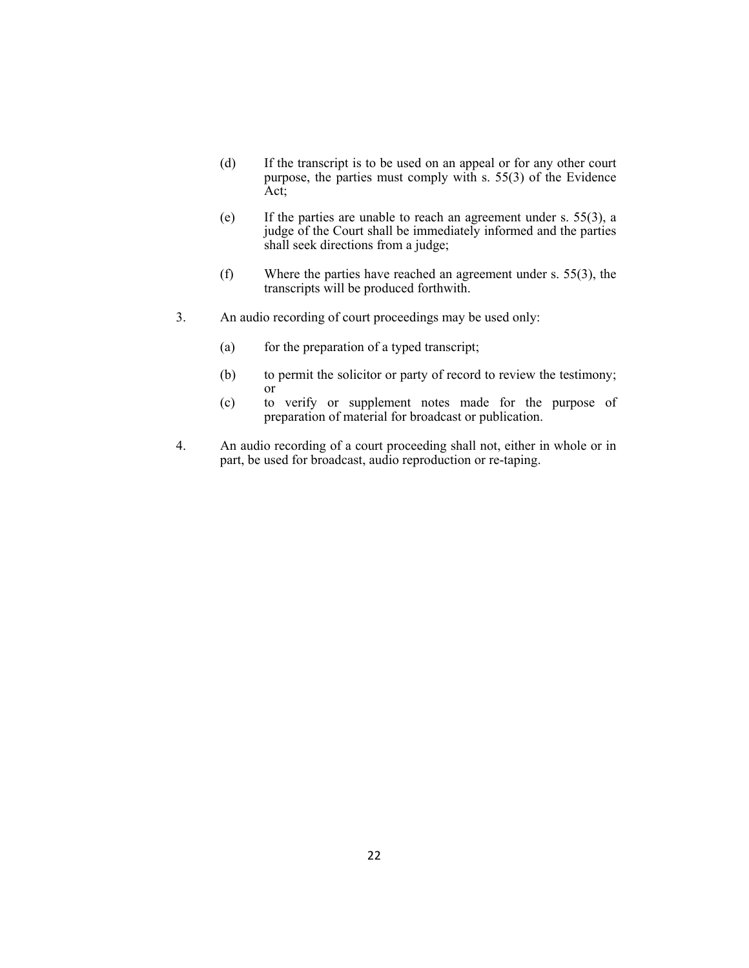- (d) If the transcript is to be used on an appeal or for any other court purpose, the parties must comply with s. 55(3) of the Evidence Act;
- (e) If the parties are unable to reach an agreement under s. 55(3), a judge of the Court shall be immediately informed and the parties shall seek directions from a judge;
- (f) Where the parties have reached an agreement under s. 55(3), the transcripts will be produced forthwith.
- 3. An audio recording of court proceedings may be used only:
	- (a) for the preparation of a typed transcript;
	- (b) to permit the solicitor or party of record to review the testimony; or
	- (c) to verify or supplement notes made for the purpose of preparation of material for broadcast or publication.
- 4. An audio recording of a court proceeding shall not, either in whole or in part, be used for broadcast, audio reproduction or re-taping.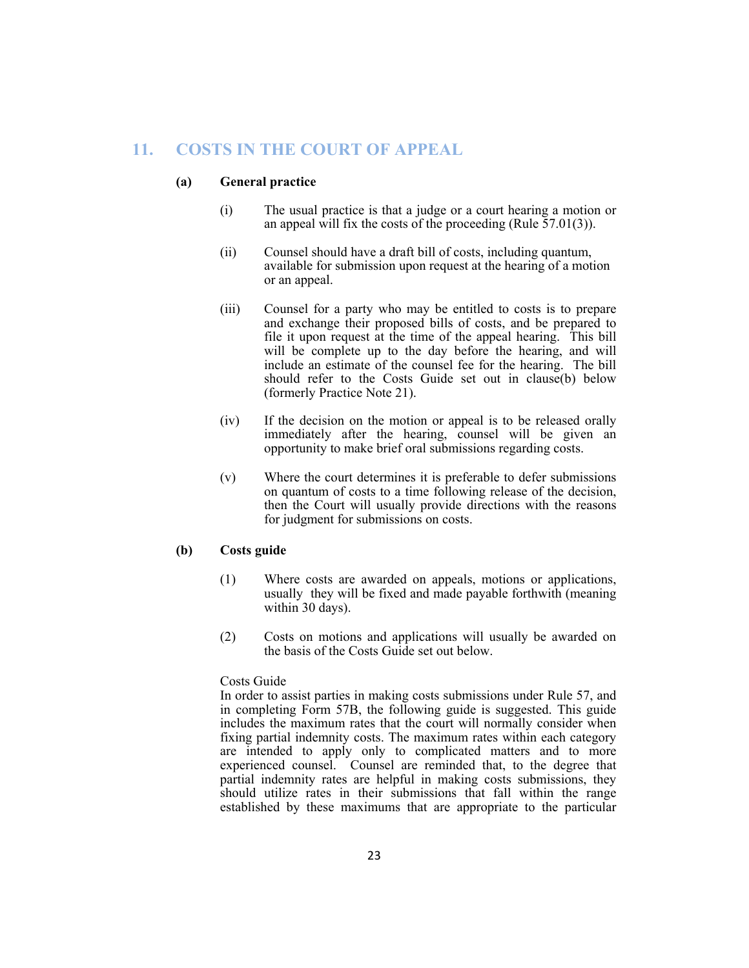# **11. COSTS IN THE COURT OF APPEAL**

### **(a) General practice**

- (i) The usual practice is that a judge or a court hearing a motion or an appeal will fix the costs of the proceeding (Rule  $\overline{57.01(3)}$ ).
- (ii) Counsel should have a draft bill of costs, including quantum, available for submission upon request at the hearing of a motion or an appeal.
- (iii) Counsel for a party who may be entitled to costs is to prepare and exchange their proposed bills of costs, and be prepared to file it upon request at the time of the appeal hearing. This bill will be complete up to the day before the hearing, and will include an estimate of the counsel fee for the hearing. The bill should refer to the Costs Guide set out in clause(b) below (formerly Practice Note 21).
- (iv) If the decision on the motion or appeal is to be released orally immediately after the hearing, counsel will be given an opportunity to make brief oral submissions regarding costs.
- (v) Where the court determines it is preferable to defer submissions on quantum of costs to a time following release of the decision, then the Court will usually provide directions with the reasons for judgment for submissions on costs.

### **(b) Costs guide**

- (1) Where costs are awarded on appeals, motions or applications, usually they will be fixed and made payable forthwith (meaning within 30 days).
- (2) Costs on motions and applications will usually be awarded on the basis of the Costs Guide set out below.

### Costs Guide

In order to assist parties in making costs submissions under Rule 57, and in completing Form 57B, the following guide is suggested. This guide includes the maximum rates that the court will normally consider when fixing partial indemnity costs. The maximum rates within each category are intended to apply only to complicated matters and to more experienced counsel. Counsel are reminded that, to the degree that partial indemnity rates are helpful in making costs submissions, they should utilize rates in their submissions that fall within the range established by these maximums that are appropriate to the particular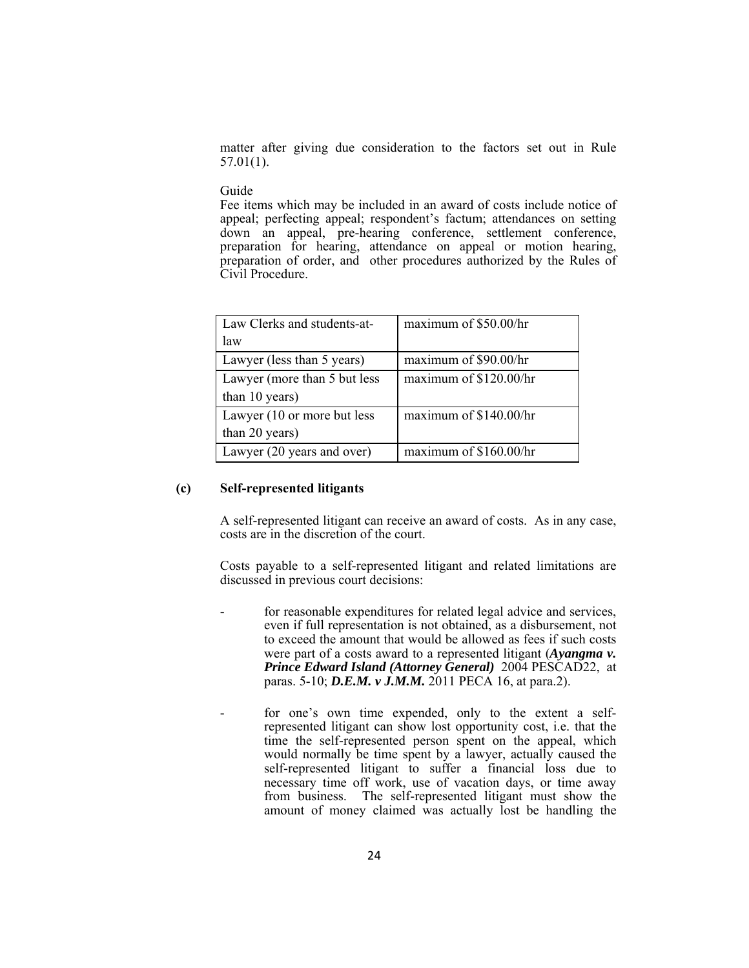matter after giving due consideration to the factors set out in Rule 57.01(1).

#### Guide

Fee items which may be included in an award of costs include notice of appeal; perfecting appeal; respondent's factum; attendances on setting down an appeal, pre-hearing conference, settlement conference, preparation for hearing, attendance on appeal or motion hearing, preparation of order, and other procedures authorized by the Rules of Civil Procedure.

| Law Clerks and students-at-  | maximum of \$50.00/hr  |
|------------------------------|------------------------|
| law                          |                        |
| Lawyer (less than 5 years)   | maximum of \$90.00/hr  |
| Lawyer (more than 5 but less | maximum of \$120.00/hr |
| than 10 years)               |                        |
| Lawyer (10 or more but less  | maximum of \$140.00/hr |
| than 20 years)               |                        |
| Lawyer (20 years and over)   | maximum of \$160.00/hr |

#### **(c) Self-represented litigants**

A self-represented litigant can receive an award of costs. As in any case, costs are in the discretion of the court.

 Costs payable to a self-represented litigant and related limitations are discussed in previous court decisions:

- for reasonable expenditures for related legal advice and services, even if full representation is not obtained, as a disbursement, not to exceed the amount that would be allowed as fees if such costs were part of a costs award to a represented litigant (*Ayangma v. Prince Edward Island (Attorney General)* 2004 PESCAD22, at paras. 5-10; *D.E.M. v J.M.M.* 2011 PECA 16, at para.2).
- for one's own time expended, only to the extent a selfrepresented litigant can show lost opportunity cost, i.e. that the time the self-represented person spent on the appeal, which would normally be time spent by a lawyer, actually caused the self-represented litigant to suffer a financial loss due to necessary time off work, use of vacation days, or time away from business. The self-represented litigant must show the amount of money claimed was actually lost be handling the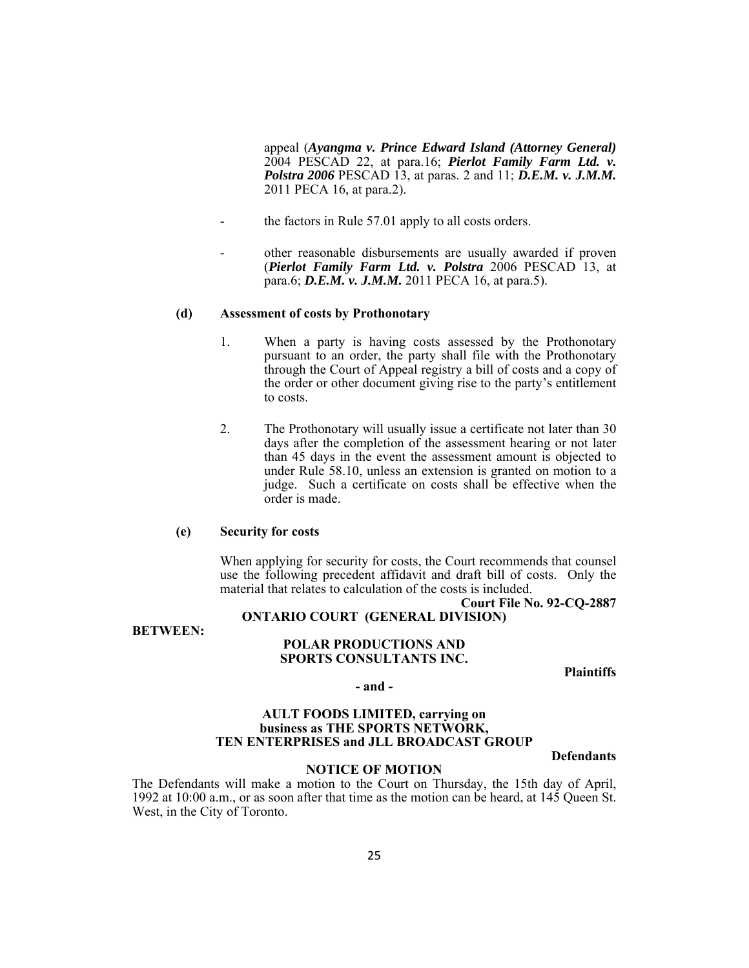appeal (*Ayangma v. Prince Edward Island (Attorney General)* 2004 PESCAD 22, at para.16; *Pierlot Family Farm Ltd. v. Polstra 2006* PESCAD 13, at paras. 2 and 11; *D.E.M. v. J.M.M.* 2011 PECA 16, at para.2).

- the factors in Rule 57.01 apply to all costs orders.
- other reasonable disbursements are usually awarded if proven (*Pierlot Family Farm Ltd. v. Polstra* 2006 PESCAD 13, at para.6; *D.E.M. v. J.M.M.* 2011 PECA 16, at para.5).

#### **(d) Assessment of costs by Prothonotary**

- 1. When a party is having costs assessed by the Prothonotary pursuant to an order, the party shall file with the Prothonotary through the Court of Appeal registry a bill of costs and a copy of the order or other document giving rise to the party's entitlement to costs.
- 2. The Prothonotary will usually issue a certificate not later than 30 days after the completion of the assessment hearing or not later than 45 days in the event the assessment amount is objected to under Rule 58.10, unless an extension is granted on motion to a judge. Such a certificate on costs shall be effective when the order is made.

### **(e) Security for costs**

 When applying for security for costs, the Court recommends that counsel use the following precedent affidavit and draft bill of costs. Only the material that relates to calculation of the costs is included.

#### **Court File No. 92-CQ-2887 ONTARIO COURT (GENERAL DIVISION)**

**BETWEEN:** 

#### **POLAR PRODUCTIONS AND SPORTS CONSULTANTS INC.**

**Plaintiffs** 

#### **- and -**

### **AULT FOODS LIMITED, carrying on business as THE SPORTS NETWORK, TEN ENTERPRISES and JLL BROADCAST GROUP**

**Defendants** 

#### **NOTICE OF MOTION**

The Defendants will make a motion to the Court on Thursday, the 15th day of April, 1992 at 10:00 a.m., or as soon after that time as the motion can be heard, at 145 Queen St. West, in the City of Toronto.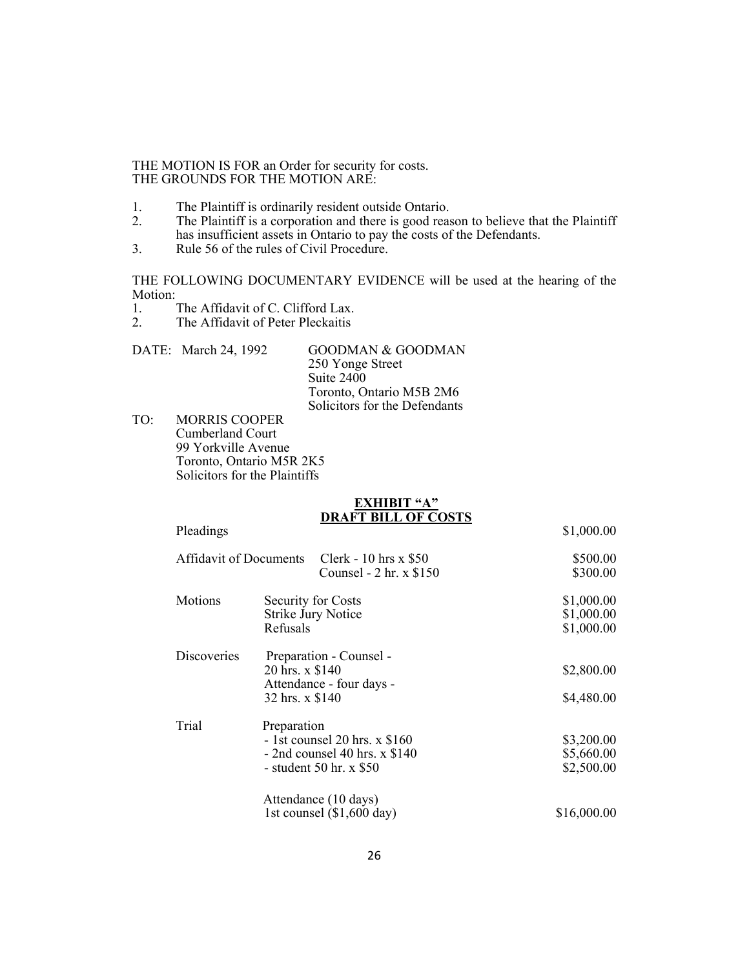#### THE MOTION IS FOR an Order for security for costs. THE GROUNDS FOR THE MOTION ARE:

- 1. The Plaintiff is ordinarily resident outside Ontario.<br>2. The Plaintiff is a corporation and there is good reas
- The Plaintiff is a corporation and there is good reason to believe that the Plaintiff has insufficient assets in Ontario to pay the costs of the Defendants.
- 3. Rule 56 of the rules of Civil Procedure.

THE FOLLOWING DOCUMENTARY EVIDENCE will be used at the hearing of the Motion:

- 1. The Affidavit of C. Clifford Lax.<br>2. The Affidavit of Peter Pleckaitis
- The Affidavit of Peter Pleckaitis

|              | DATE: March 24, 1992 | <b>GOODMAN &amp; GOODMAN</b>  |
|--------------|----------------------|-------------------------------|
|              |                      | 250 Yonge Street              |
|              |                      | Suite 2400                    |
|              |                      | Toronto, Ontario M5B 2M6      |
|              |                      | Solicitors for the Defendants |
| $T^{\prime}$ | תתמרות מהמונות       |                               |

TO: MORRIS COOPER Cumberland Court 99 Yorkville Avenue Toronto, Ontario M5R 2K5 Solicitors for the Plaintiffs

#### **EXHIBIT "A" DRAFT BILL OF COSTS**

| Pleadings                     |                                                                                                                | \$1,000.00                             |
|-------------------------------|----------------------------------------------------------------------------------------------------------------|----------------------------------------|
| <b>Affidavit of Documents</b> | Clerk - 10 hrs x \$50<br>Counsel $-2$ hr. x \$150                                                              | \$500.00<br>\$300.00                   |
| Motions                       | Security for Costs<br><b>Strike Jury Notice</b><br>Refusals                                                    | \$1,000.00<br>\$1,000.00<br>\$1,000.00 |
| Discoveries                   | Preparation - Counsel -<br>20 hrs. x \$140<br>Attendance - four days -<br>32 hrs. x \$140                      | \$2,800.00<br>\$4,480.00               |
| Trial                         | Preparation<br>$-1$ st counsel 20 hrs. x \$160<br>$-$ 2nd counsel 40 hrs. x \$140<br>- student 50 hr. $x$ \$50 | \$3,200.00<br>\$5,660.00<br>\$2,500.00 |
|                               | Attendance (10 days)<br>1st counsel $(\$1,600$ day)                                                            | \$16,000.00                            |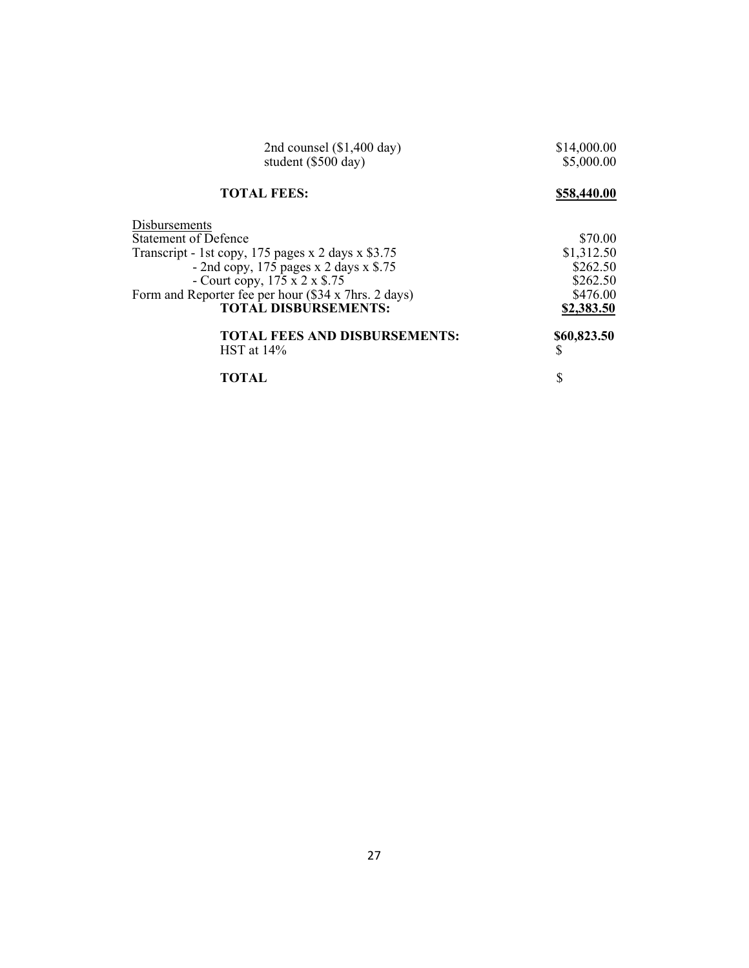| 2nd counsel $(\$1,400$ day)<br>student (\$500 day)   | \$14,000.00<br>\$5,000.00 |
|------------------------------------------------------|---------------------------|
| <b>TOTAL FEES:</b>                                   | \$58,440.00               |
| Disbursements                                        |                           |
| <b>Statement of Defence</b>                          | \$70.00                   |
| Transcript - 1st copy, 175 pages x 2 days x $$3.75$  | \$1,312.50                |
| - 2nd copy, $175$ pages x 2 days x \$.75             | \$262.50                  |
| - Court copy, $175 \times 2 \times $.75$             | \$262.50                  |
| Form and Reporter fee per hour (\$34 x 7hrs. 2 days) | \$476.00                  |
| <b>TOTAL DISBURSEMENTS:</b>                          | \$2,383.50                |
| <b>TOTAL FEES AND DISBURSEMENTS:</b>                 | \$60,823.50               |
| HST at 14%                                           | S                         |
| <b>TOTAL</b>                                         | \$                        |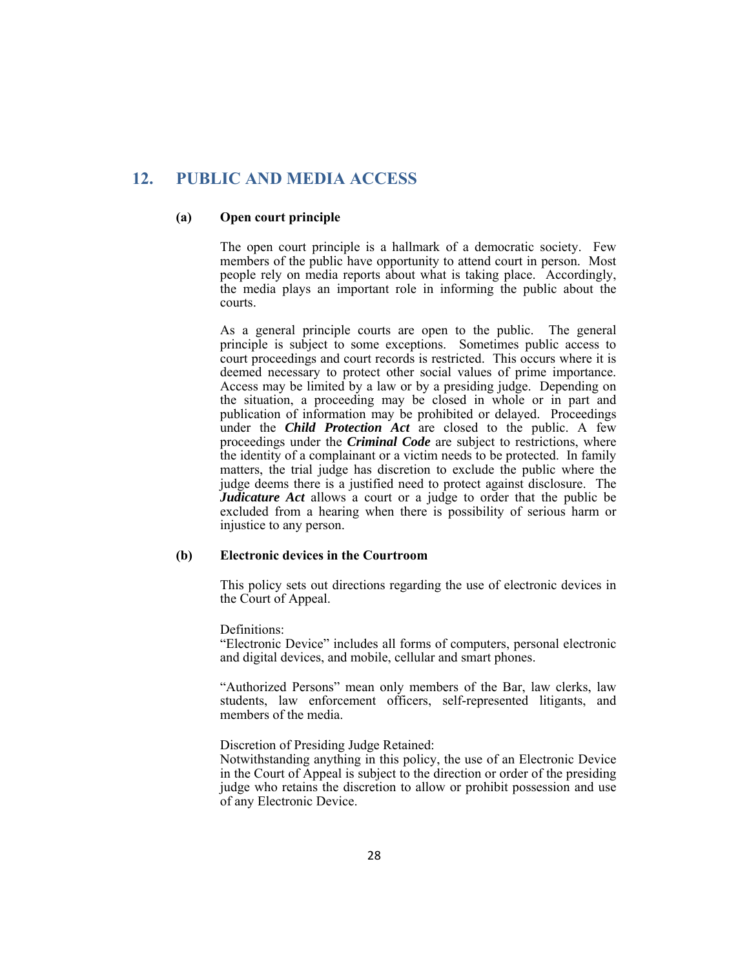# **12. PUBLIC AND MEDIA ACCESS**

#### **(a) Open court principle**

The open court principle is a hallmark of a democratic society. Few members of the public have opportunity to attend court in person. Most people rely on media reports about what is taking place. Accordingly, the media plays an important role in informing the public about the courts.

As a general principle courts are open to the public. The general principle is subject to some exceptions. Sometimes public access to court proceedings and court records is restricted. This occurs where it is deemed necessary to protect other social values of prime importance. Access may be limited by a law or by a presiding judge. Depending on the situation, a proceeding may be closed in whole or in part and publication of information may be prohibited or delayed. Proceedings under the *Child Protection Act* are closed to the public. A few proceedings under the *Criminal Code* are subject to restrictions, where the identity of a complainant or a victim needs to be protected. In family matters, the trial judge has discretion to exclude the public where the judge deems there is a justified need to protect against disclosure. The *Judicature Act* allows a court or a judge to order that the public be excluded from a hearing when there is possibility of serious harm or injustice to any person.

#### **(b) Electronic devices in the Courtroom**

 This policy sets out directions regarding the use of electronic devices in the Court of Appeal.

Definitions:

 "Electronic Device" includes all forms of computers, personal electronic and digital devices, and mobile, cellular and smart phones.

 "Authorized Persons" mean only members of the Bar, law clerks, law students, law enforcement officers, self-represented litigants, and members of the media.

### Discretion of Presiding Judge Retained:

 Notwithstanding anything in this policy, the use of an Electronic Device in the Court of Appeal is subject to the direction or order of the presiding judge who retains the discretion to allow or prohibit possession and use of any Electronic Device.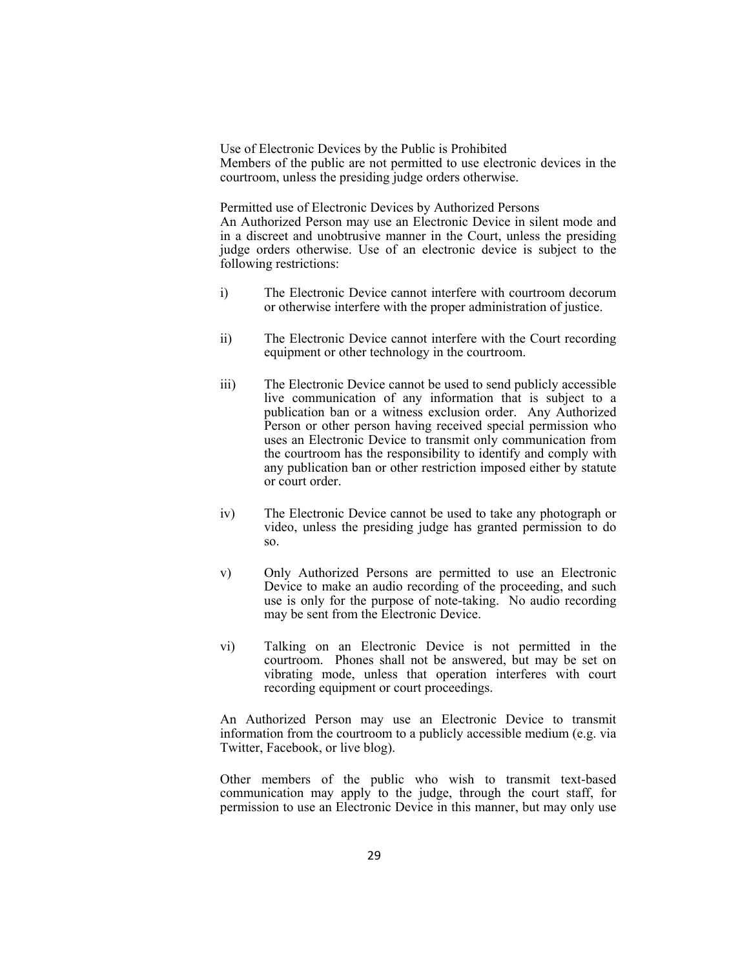Use of Electronic Devices by the Public is Prohibited Members of the public are not permitted to use electronic devices in the courtroom, unless the presiding judge orders otherwise.

 Permitted use of Electronic Devices by Authorized Persons An Authorized Person may use an Electronic Device in silent mode and in a discreet and unobtrusive manner in the Court, unless the presiding judge orders otherwise. Use of an electronic device is subject to the following restrictions:

- i) The Electronic Device cannot interfere with courtroom decorum or otherwise interfere with the proper administration of justice.
- ii) The Electronic Device cannot interfere with the Court recording equipment or other technology in the courtroom.
- iii) The Electronic Device cannot be used to send publicly accessible live communication of any information that is subject to a publication ban or a witness exclusion order. Any Authorized Person or other person having received special permission who uses an Electronic Device to transmit only communication from the courtroom has the responsibility to identify and comply with any publication ban or other restriction imposed either by statute or court order.
- iv) The Electronic Device cannot be used to take any photograph or video, unless the presiding judge has granted permission to do so.
- v) Only Authorized Persons are permitted to use an Electronic Device to make an audio recording of the proceeding, and such use is only for the purpose of note-taking. No audio recording may be sent from the Electronic Device.
- vi) Talking on an Electronic Device is not permitted in the courtroom. Phones shall not be answered, but may be set on vibrating mode, unless that operation interferes with court recording equipment or court proceedings.

 An Authorized Person may use an Electronic Device to transmit information from the courtroom to a publicly accessible medium (e.g. via Twitter, Facebook, or live blog).

 Other members of the public who wish to transmit text-based communication may apply to the judge, through the court staff, for permission to use an Electronic Device in this manner, but may only use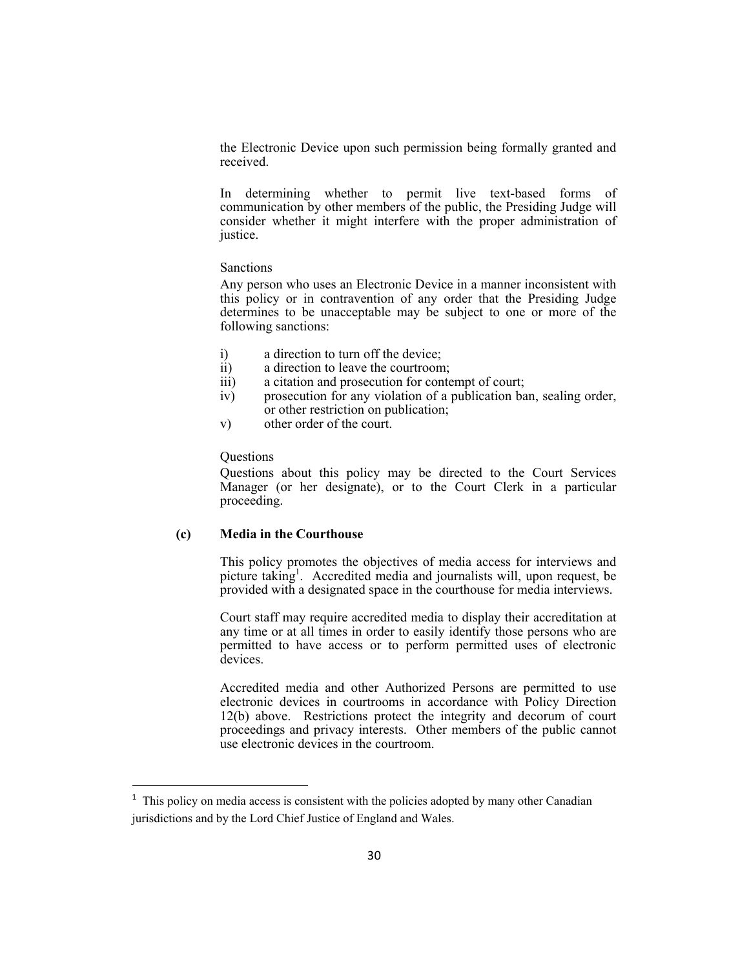the Electronic Device upon such permission being formally granted and received.

 In determining whether to permit live text-based forms of communication by other members of the public, the Presiding Judge will consider whether it might interfere with the proper administration of justice.

#### Sanctions

 Any person who uses an Electronic Device in a manner inconsistent with this policy or in contravention of any order that the Presiding Judge determines to be unacceptable may be subject to one or more of the following sanctions:

- i) a direction to turn off the device;
- ii) a direction to leave the courtroom;<br>iii) a citation and prosecution for conte
- a citation and prosecution for contempt of court;
- iv) prosecution for any violation of a publication ban, sealing order, or other restriction on publication;
- v) other order of the court.

#### Questions

 Questions about this policy may be directed to the Court Services Manager (or her designate), or to the Court Clerk in a particular proceeding.

### **(c) Media in the Courthouse**

 This policy promotes the objectives of media access for interviews and picture taking<sup>1</sup>. Accredited media and journalists will, upon request, be provided with a designated space in the courthouse for media interviews.

 Court staff may require accredited media to display their accreditation at any time or at all times in order to easily identify those persons who are permitted to have access or to perform permitted uses of electronic devices.

 Accredited media and other Authorized Persons are permitted to use electronic devices in courtrooms in accordance with Policy Direction 12(b) above. Restrictions protect the integrity and decorum of court proceedings and privacy interests. Other members of the public cannot use electronic devices in the courtroom.

<sup>&</sup>lt;sup>1</sup> This policy on media access is consistent with the policies adopted by many other Canadian jurisdictions and by the Lord Chief Justice of England and Wales.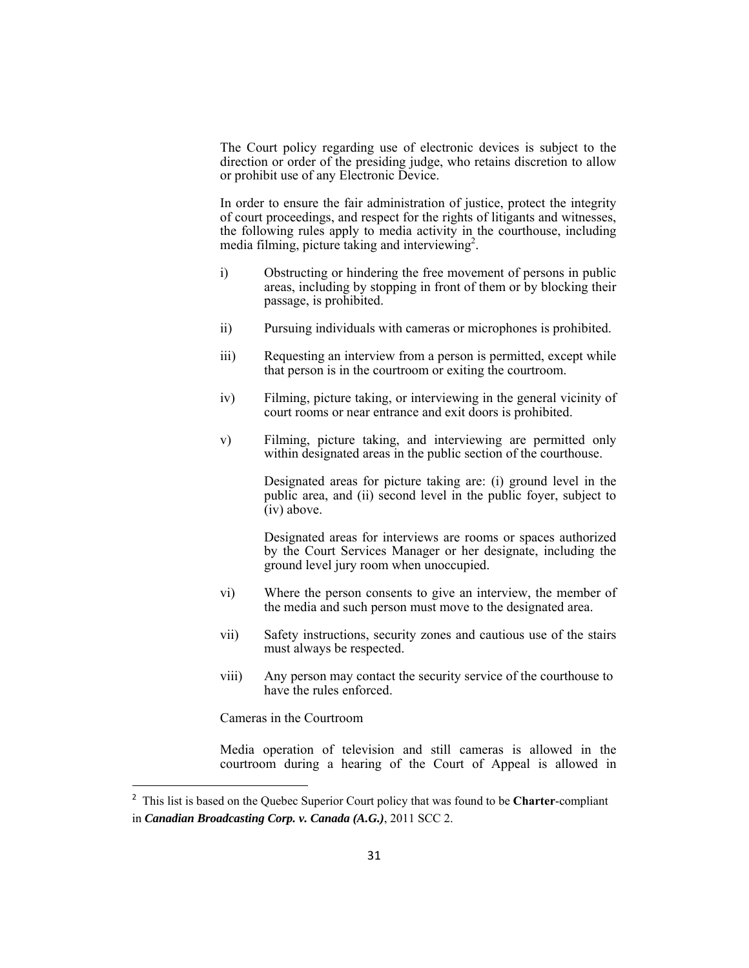The Court policy regarding use of electronic devices is subject to the direction or order of the presiding judge, who retains discretion to allow or prohibit use of any Electronic Device.

 In order to ensure the fair administration of justice, protect the integrity of court proceedings, and respect for the rights of litigants and witnesses, the following rules apply to media activity in the courthouse, including media filming, picture taking and interviewing<sup>2</sup>.

- i) Obstructing or hindering the free movement of persons in public areas, including by stopping in front of them or by blocking their passage, is prohibited.
- ii) Pursuing individuals with cameras or microphones is prohibited.
- iii) Requesting an interview from a person is permitted, except while that person is in the courtroom or exiting the courtroom.
- iv) Filming, picture taking, or interviewing in the general vicinity of court rooms or near entrance and exit doors is prohibited.
- v) Filming, picture taking, and interviewing are permitted only within designated areas in the public section of the courthouse.

 Designated areas for picture taking are: (i) ground level in the public area, and (ii) second level in the public foyer, subject to  $(iv)$  above.

 Designated areas for interviews are rooms or spaces authorized by the Court Services Manager or her designate, including the ground level jury room when unoccupied.

- vi) Where the person consents to give an interview, the member of the media and such person must move to the designated area.
- vii) Safety instructions, security zones and cautious use of the stairs must always be respected.
- viii) Any person may contact the security service of the courthouse to have the rules enforced.

Cameras in the Courtroom

 Media operation of television and still cameras is allowed in the courtroom during a hearing of the Court of Appeal is allowed in

<sup>2</sup> This list is based on the Quebec Superior Court policy that was found to be **Charter**-compliant in *Canadian Broadcasting Corp. v. Canada (A.G.)*, 2011 SCC 2.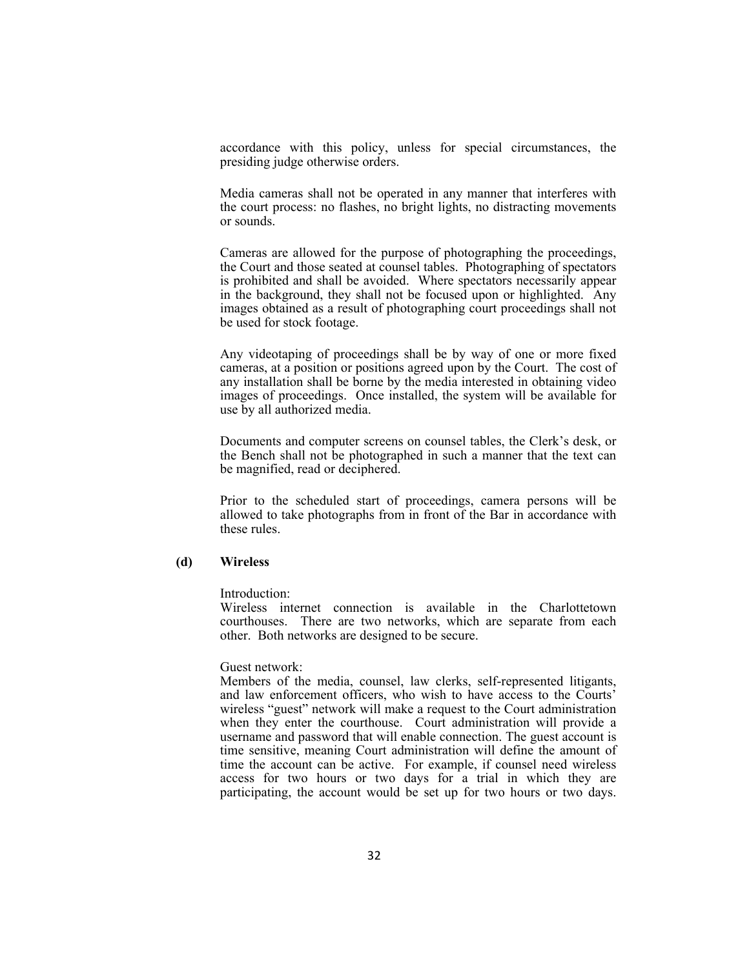accordance with this policy, unless for special circumstances, the presiding judge otherwise orders.

 Media cameras shall not be operated in any manner that interferes with the court process: no flashes, no bright lights, no distracting movements or sounds.

 Cameras are allowed for the purpose of photographing the proceedings, the Court and those seated at counsel tables. Photographing of spectators is prohibited and shall be avoided. Where spectators necessarily appear in the background, they shall not be focused upon or highlighted. Any images obtained as a result of photographing court proceedings shall not be used for stock footage.

 Any videotaping of proceedings shall be by way of one or more fixed cameras, at a position or positions agreed upon by the Court. The cost of any installation shall be borne by the media interested in obtaining video images of proceedings. Once installed, the system will be available for use by all authorized media.

 Documents and computer screens on counsel tables, the Clerk's desk, or the Bench shall not be photographed in such a manner that the text can be magnified, read or deciphered.

 Prior to the scheduled start of proceedings, camera persons will be allowed to take photographs from in front of the Bar in accordance with these rules.

### **(d) Wireless**

Introduction:

 Wireless internet connection is available in the Charlottetown courthouses. There are two networks, which are separate from each other. Both networks are designed to be secure.

Guest network:

 Members of the media, counsel, law clerks, self-represented litigants, and law enforcement officers, who wish to have access to the Courts' wireless "guest" network will make a request to the Court administration when they enter the courthouse. Court administration will provide a username and password that will enable connection. The guest account is time sensitive, meaning Court administration will define the amount of time the account can be active. For example, if counsel need wireless access for two hours or two days for a trial in which they are participating, the account would be set up for two hours or two days.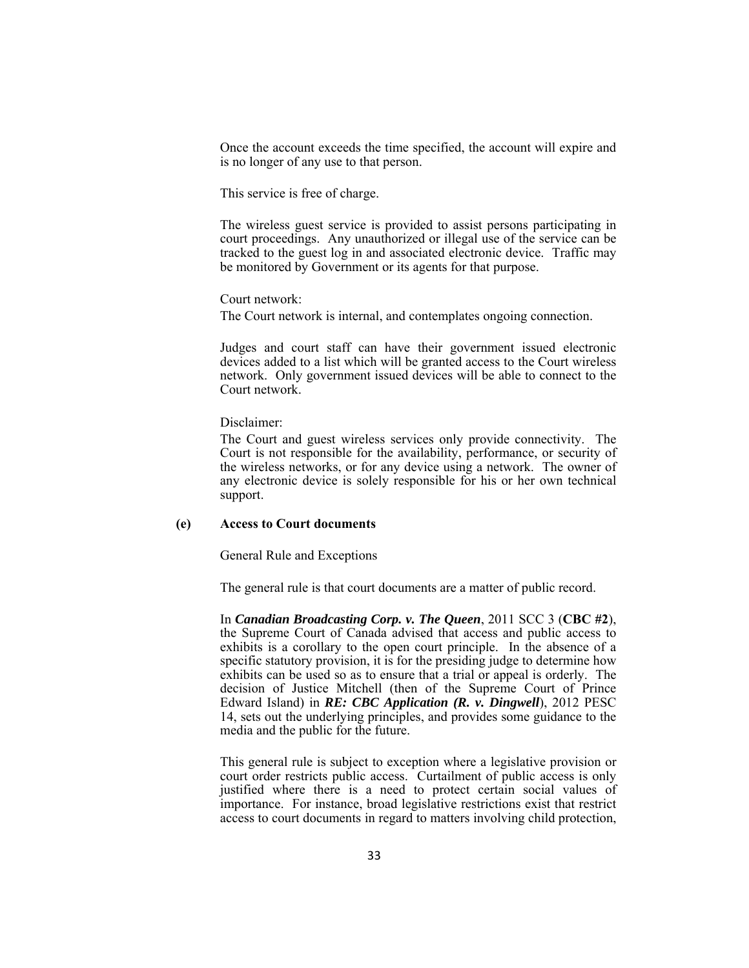Once the account exceeds the time specified, the account will expire and is no longer of any use to that person.

This service is free of charge.

 The wireless guest service is provided to assist persons participating in court proceedings. Any unauthorized or illegal use of the service can be tracked to the guest log in and associated electronic device. Traffic may be monitored by Government or its agents for that purpose.

Court network:

The Court network is internal, and contemplates ongoing connection.

 Judges and court staff can have their government issued electronic devices added to a list which will be granted access to the Court wireless network. Only government issued devices will be able to connect to the Court network.

Disclaimer:

 The Court and guest wireless services only provide connectivity. The Court is not responsible for the availability, performance, or security of the wireless networks, or for any device using a network. The owner of any electronic device is solely responsible for his or her own technical support.

#### **(e) Access to Court documents**

General Rule and Exceptions

The general rule is that court documents are a matter of public record.

 In *Canadian Broadcasting Corp. v. The Queen*, 2011 SCC 3 (**CBC #2**), the Supreme Court of Canada advised that access and public access to exhibits is a corollary to the open court principle. In the absence of a specific statutory provision, it is for the presiding judge to determine how exhibits can be used so as to ensure that a trial or appeal is orderly. The decision of Justice Mitchell (then of the Supreme Court of Prince Edward Island) in *RE: CBC Application (R. v. Dingwell*), 2012 PESC 14, sets out the underlying principles, and provides some guidance to the media and the public for the future.

 This general rule is subject to exception where a legislative provision or court order restricts public access. Curtailment of public access is only justified where there is a need to protect certain social values of importance. For instance, broad legislative restrictions exist that restrict access to court documents in regard to matters involving child protection,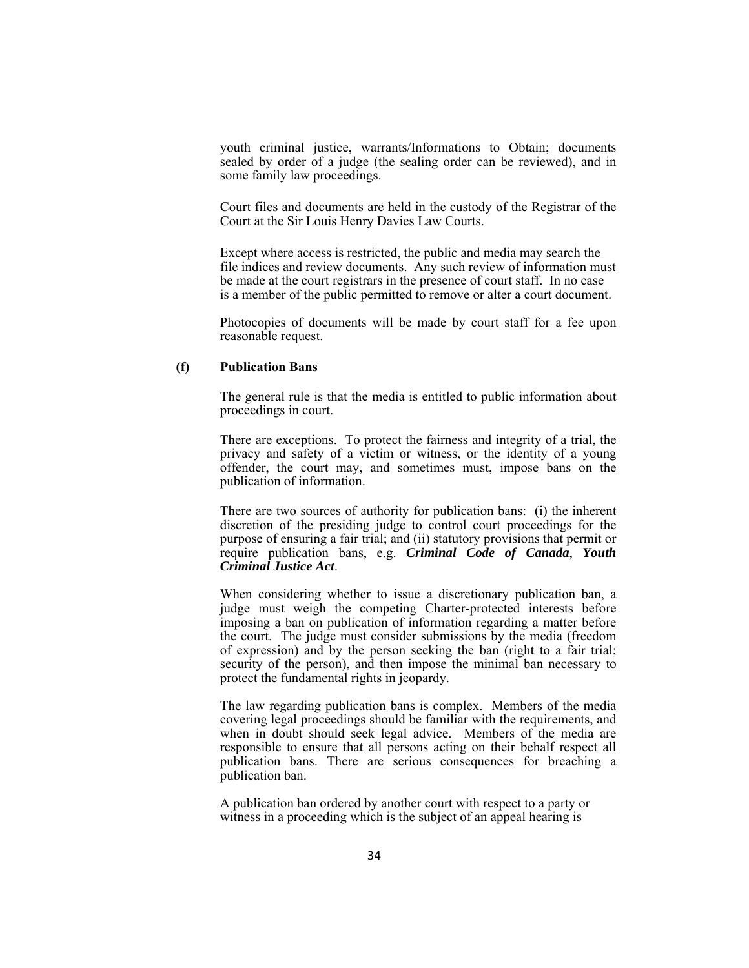youth criminal justice, warrants/Informations to Obtain; documents sealed by order of a judge (the sealing order can be reviewed), and in some family law proceedings.

 Court files and documents are held in the custody of the Registrar of the Court at the Sir Louis Henry Davies Law Courts.

 Except where access is restricted, the public and media may search the file indices and review documents. Any such review of information must be made at the court registrars in the presence of court staff. In no case is a member of the public permitted to remove or alter a court document.

 Photocopies of documents will be made by court staff for a fee upon reasonable request.

#### **(f) Publication Bans**

 The general rule is that the media is entitled to public information about proceedings in court.

 There are exceptions. To protect the fairness and integrity of a trial, the privacy and safety of a victim or witness, or the identity of a young offender, the court may, and sometimes must, impose bans on the publication of information.

 There are two sources of authority for publication bans: (i) the inherent discretion of the presiding judge to control court proceedings for the purpose of ensuring a fair trial; and (ii) statutory provisions that permit or require publication bans, e.g. *Criminal Code of Canada*, *Youth Criminal Justice Act*.

 When considering whether to issue a discretionary publication ban, a judge must weigh the competing Charter-protected interests before imposing a ban on publication of information regarding a matter before the court. The judge must consider submissions by the media (freedom of expression) and by the person seeking the ban (right to a fair trial; security of the person), and then impose the minimal ban necessary to protect the fundamental rights in jeopardy.

 The law regarding publication bans is complex. Members of the media covering legal proceedings should be familiar with the requirements, and when in doubt should seek legal advice. Members of the media are responsible to ensure that all persons acting on their behalf respect all publication bans. There are serious consequences for breaching a publication ban.

 A publication ban ordered by another court with respect to a party or witness in a proceeding which is the subject of an appeal hearing is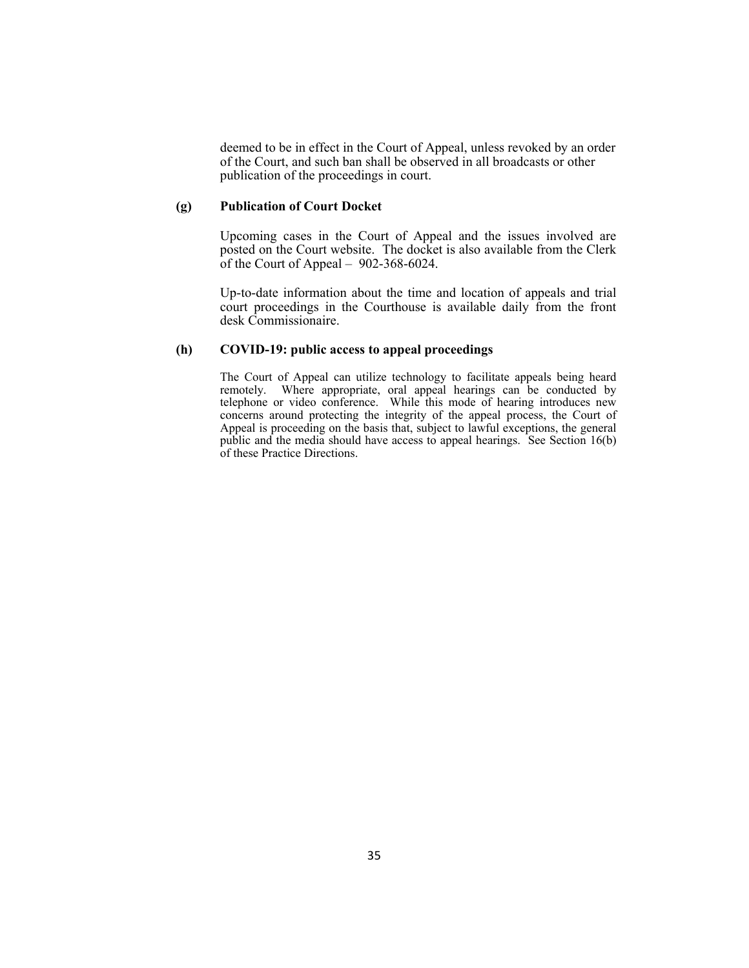deemed to be in effect in the Court of Appeal, unless revoked by an order of the Court, and such ban shall be observed in all broadcasts or other publication of the proceedings in court.

#### **(g) Publication of Court Docket**

 Upcoming cases in the Court of Appeal and the issues involved are posted on the Court website. The docket is also available from the Clerk of the Court of Appeal – 902-368-6024.

 Up-to-date information about the time and location of appeals and trial court proceedings in the Courthouse is available daily from the front desk Commissionaire.

## **(h) COVID-19: public access to appeal proceedings**

The Court of Appeal can utilize technology to facilitate appeals being heard remotely. Where appropriate, oral appeal hearings can be conducted by telephone or video conference. While this mode of hearing introduces new concerns around protecting the integrity of the appeal process, the Court of Appeal is proceeding on the basis that, subject to lawful exceptions, the general public and the media should have access to appeal hearings. See Section 16(b) of these Practice Directions.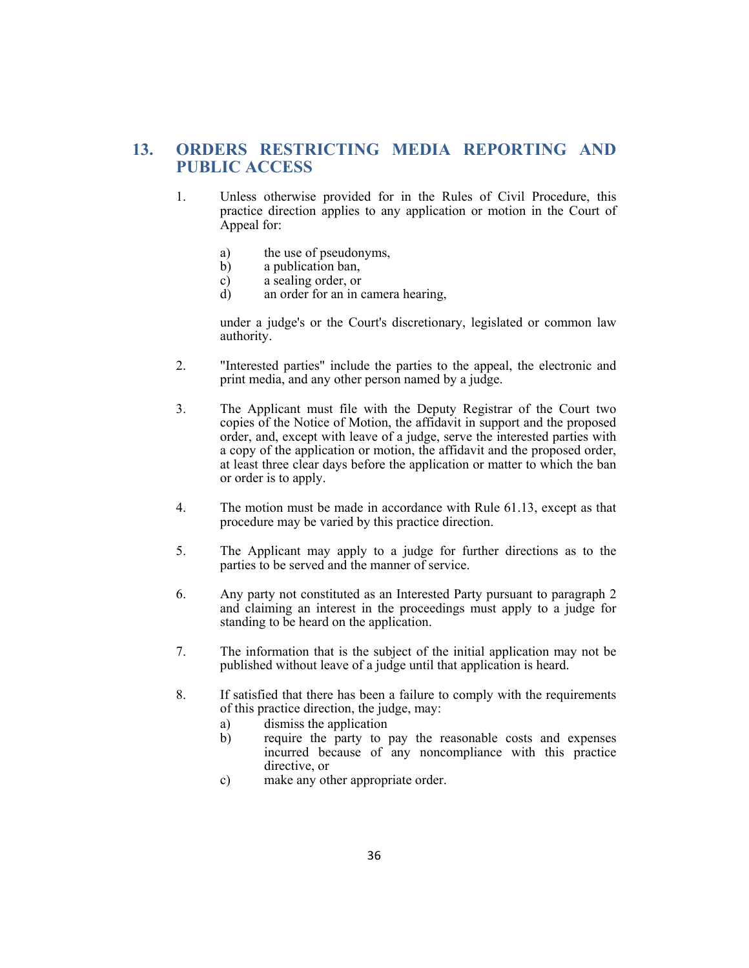# **13. ORDERS RESTRICTING MEDIA REPORTING AND PUBLIC ACCESS**

- 1. Unless otherwise provided for in the Rules of Civil Procedure, this practice direction applies to any application or motion in the Court of Appeal for:
	- a) the use of pseudonyms,
	- b) a publication ban,
	- c) a sealing order, or
	- d) an order for an in camera hearing,

 under a judge's or the Court's discretionary, legislated or common law authority.

- 2. "Interested parties" include the parties to the appeal, the electronic and print media, and any other person named by a judge.
- 3. The Applicant must file with the Deputy Registrar of the Court two copies of the Notice of Motion, the affidavit in support and the proposed order, and, except with leave of a judge, serve the interested parties with a copy of the application or motion, the affidavit and the proposed order, at least three clear days before the application or matter to which the ban or order is to apply.
- 4. The motion must be made in accordance with Rule 61.13, except as that procedure may be varied by this practice direction.
- 5. The Applicant may apply to a judge for further directions as to the parties to be served and the manner of service.
- 6. Any party not constituted as an Interested Party pursuant to paragraph 2 and claiming an interest in the proceedings must apply to a judge for standing to be heard on the application.
- 7. The information that is the subject of the initial application may not be published without leave of a judge until that application is heard.
- 8. If satisfied that there has been a failure to comply with the requirements of this practice direction, the judge, may:
	- a) dismiss the application
	- b) require the party to pay the reasonable costs and expenses incurred because of any noncompliance with this practice directive, or
	- c) make any other appropriate order.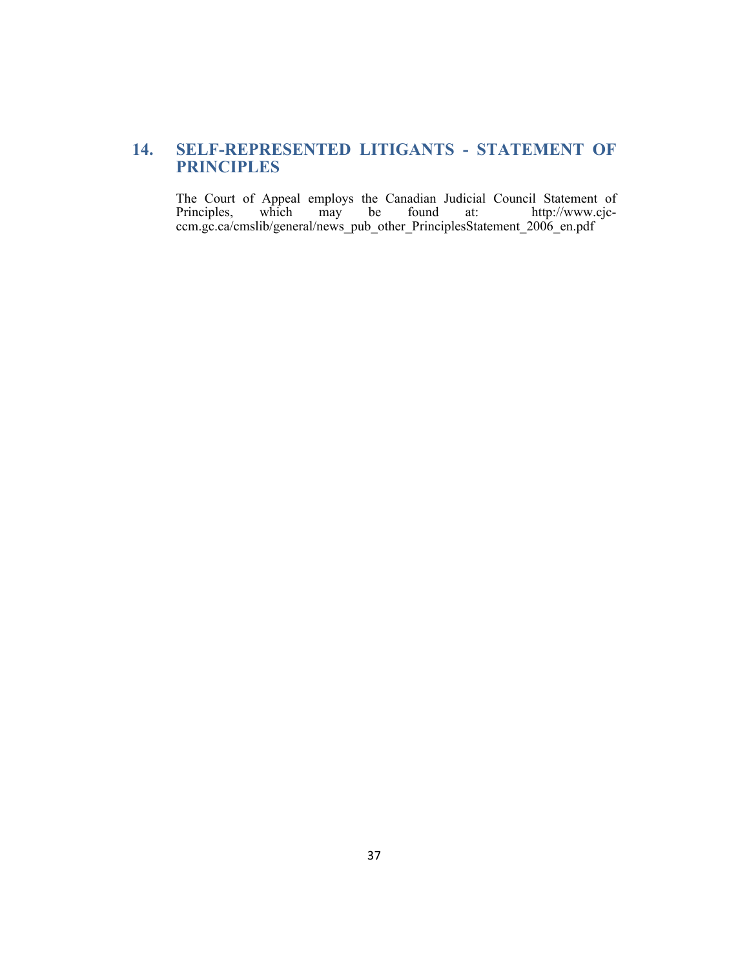# **14. SELF-REPRESENTED LITIGANTS - STATEMENT OF PRINCIPLES**

The Court of Appeal employs the Canadian Judicial Council Statement of Principles, which may be found at: http://www.cjc-Principles, which may be found at: http://www.cjcccm.gc.ca/cmslib/general/news\_pub\_other\_PrinciplesStatement\_2006\_en.pdf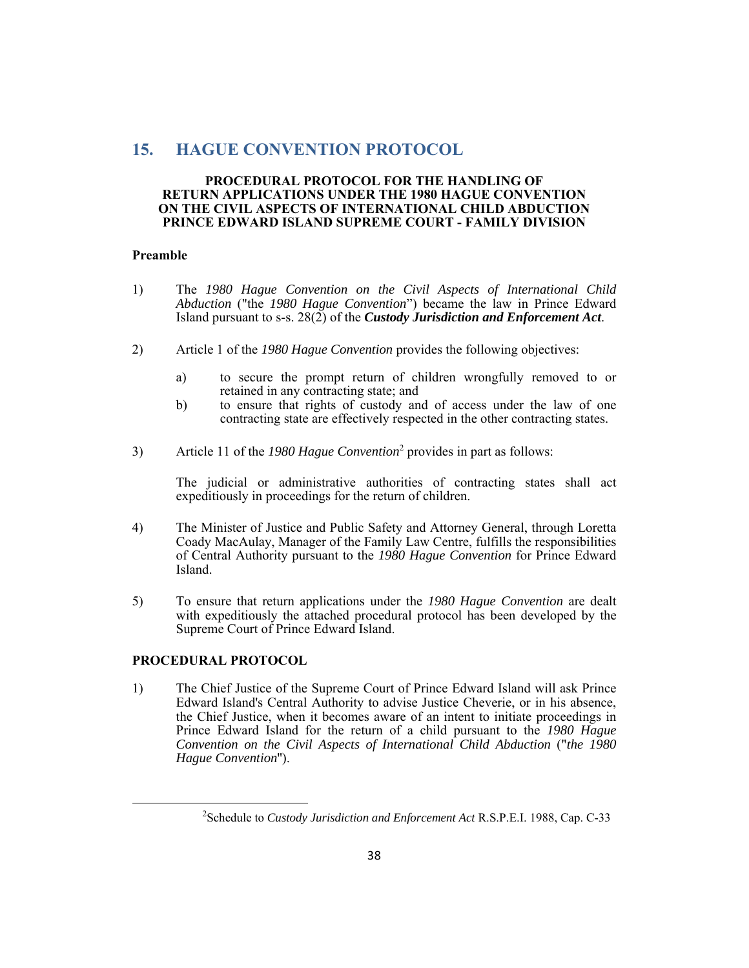# **15. HAGUE CONVENTION PROTOCOL**

#### **PROCEDURAL PROTOCOL FOR THE HANDLING OF RETURN APPLICATIONS UNDER THE 1980 HAGUE CONVENTION ON THE CIVIL ASPECTS OF INTERNATIONAL CHILD ABDUCTION PRINCE EDWARD ISLAND SUPREME COURT - FAMILY DIVISION**

#### **Preamble**

- 1) The *1980 Hague Convention on the Civil Aspects of International Child Abduction* ("the *1980 Hague Convention*") became the law in Prince Edward Island pursuant to s-s. 28(2) of the *Custody Jurisdiction and Enforcement Act*.
- 2) Article 1 of the *1980 Hague Convention* provides the following objectives:
	- a) to secure the prompt return of children wrongfully removed to or retained in any contracting state; and
	- b) to ensure that rights of custody and of access under the law of one contracting state are effectively respected in the other contracting states.
- 3) Article 11 of the *1980 Hague Convention*<sup>2</sup> provides in part as follows:

The judicial or administrative authorities of contracting states shall act expeditiously in proceedings for the return of children.

- 4) The Minister of Justice and Public Safety and Attorney General, through Loretta Coady MacAulay, Manager of the Family Law Centre, fulfills the responsibilities of Central Authority pursuant to the *1980 Hague Convention* for Prince Edward Island.
- 5) To ensure that return applications under the *1980 Hague Convention* are dealt with expeditiously the attached procedural protocol has been developed by the Supreme Court of Prince Edward Island.

### **PROCEDURAL PROTOCOL**

1) The Chief Justice of the Supreme Court of Prince Edward Island will ask Prince Edward Island's Central Authority to advise Justice Cheverie, or in his absence, the Chief Justice, when it becomes aware of an intent to initiate proceedings in Prince Edward Island for the return of a child pursuant to the *1980 Hague Convention on the Civil Aspects of International Child Abduction* ("*the 1980 Hague Convention*'').

<sup>2</sup> Schedule to *Custody Jurisdiction and Enforcement Act* R.S.P.E.I. 1988, Cap. C-33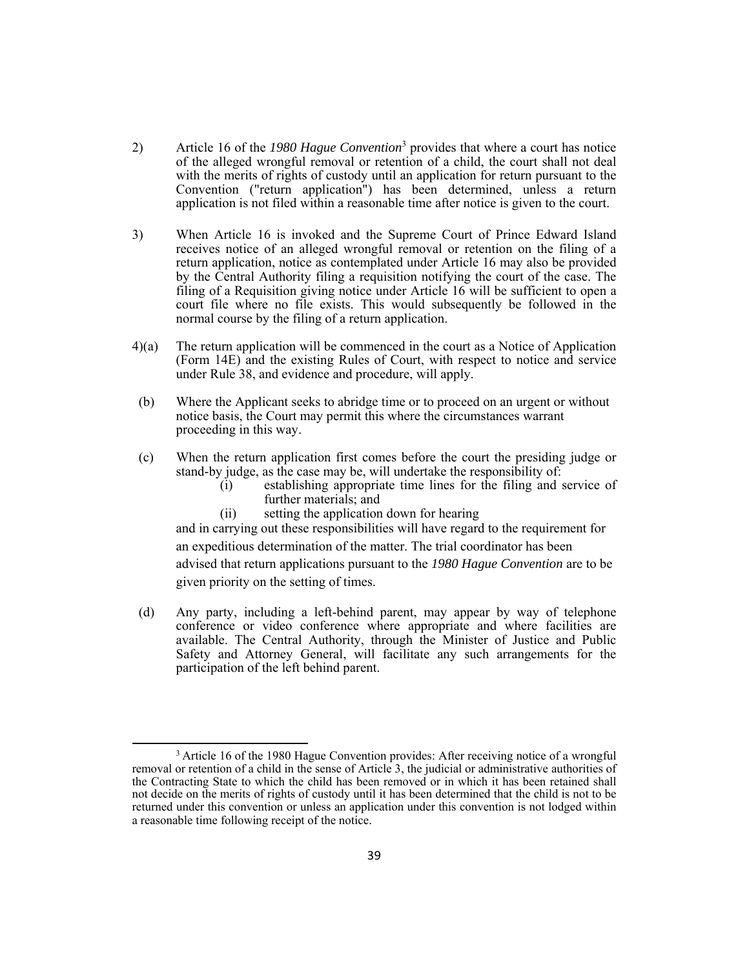- 2) Article 16 of the *1980 Hague Convention*<sup>3</sup> provides that where a court has notice of the alleged wrongful removal or retention of a child, the court shall not deal with the merits of rights of custody until an application for return pursuant to the Convention ("return application") has been determined, unless a return application is not filed within a reasonable time after notice is given to the court.
- 3) When Article 16 is invoked and the Supreme Court of Prince Edward Island receives notice of an alleged wrongful removal or retention on the filing of a return application, notice as contemplated under Article 16 may also be provided by the Central Authority filing a requisition notifying the court of the case. The filing of a Requisition giving notice under Article 16 will be sufficient to open a court file where no file exists. This would subsequently be followed in the normal course by the filing of a return application.
- 4)(a) The return application will be commenced in the court as a Notice of Application (Form 14E) and the existing Rules of Court, with respect to notice and service under Rule 38, and evidence and procedure, will apply.
- (b) Where the Applicant seeks to abridge time or to proceed on an urgent or without notice basis, the Court may permit this where the circumstances warrant proceeding in this way.
- (c) When the return application first comes before the court the presiding judge or stand-by judge, as the case may be, will undertake the responsibility of:
	- (i) establishing appropriate time lines for the filing and service of further materials; and
	- (ii) setting the application down for hearing

and in carrying out these responsibilities will have regard to the requirement for an expeditious determination of the matter. The trial coordinator has been advised that return applications pursuant to the *1980 Hague Convention* are to be given priority on the setting of times.

 (d) Any party, including a left-behind parent, may appear by way of telephone conference or video conference where appropriate and where facilities are available. The Central Authority, through the Minister of Justice and Public Safety and Attorney General, will facilitate any such arrangements for the participation of the left behind parent.

<sup>&</sup>lt;sup>3</sup> Article 16 of the 1980 Hague Convention provides: After receiving notice of a wrongful removal or retention of a child in the sense of Article 3, the judicial or administrative authorities of the Contracting State to which the child has been removed or in which it has been retained shall not decide on the merits of rights of custody until it has been determined that the child is not to be returned under this convention or unless an application under this convention is not lodged within a reasonable time following receipt of the notice.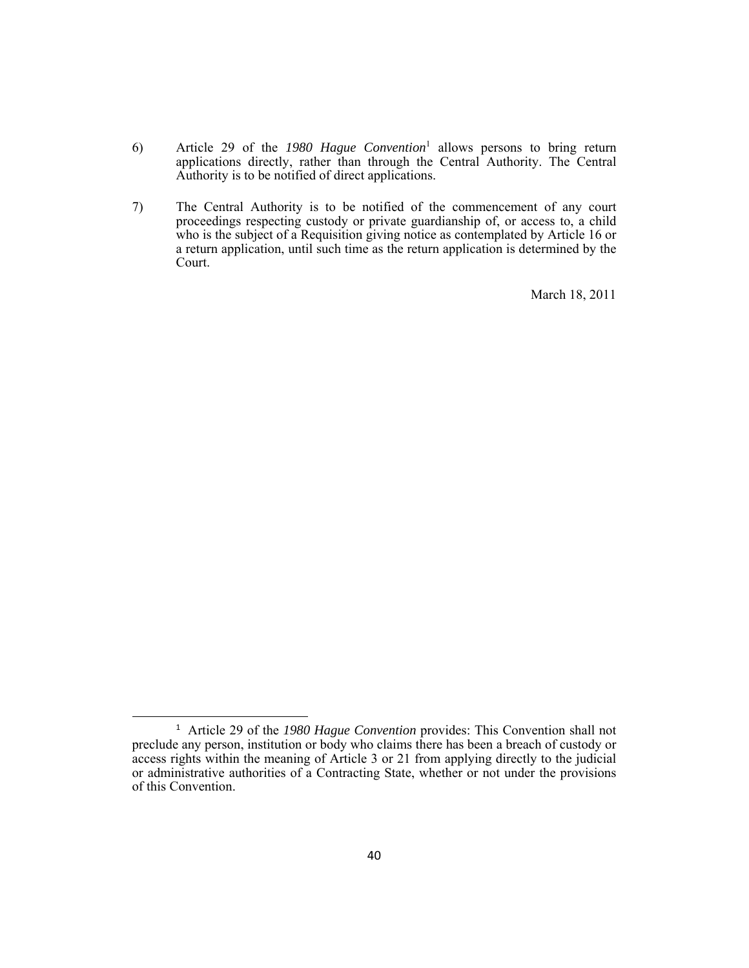- 6) Article 29 of the *1980 Hague Convention*<sup>1</sup> allows persons to bring return applications directly, rather than through the Central Authority. The Central Authority is to be notified of direct applications.
- 7) The Central Authority is to be notified of the commencement of any court proceedings respecting custody or private guardianship of, or access to, a child who is the subject of a Requisition giving notice as contemplated by Article 16 or a return application, until such time as the return application is determined by the Court.

March 18, 2011

<sup>&</sup>lt;sup>1</sup> Article 29 of the *1980 Hague Convention* provides: This Convention shall not preclude any person, institution or body who claims there has been a breach of custody or access rights within the meaning of Article 3 or 21 from applying directly to the judicial or administrative authorities of a Contracting State, whether or not under the provisions of this Convention.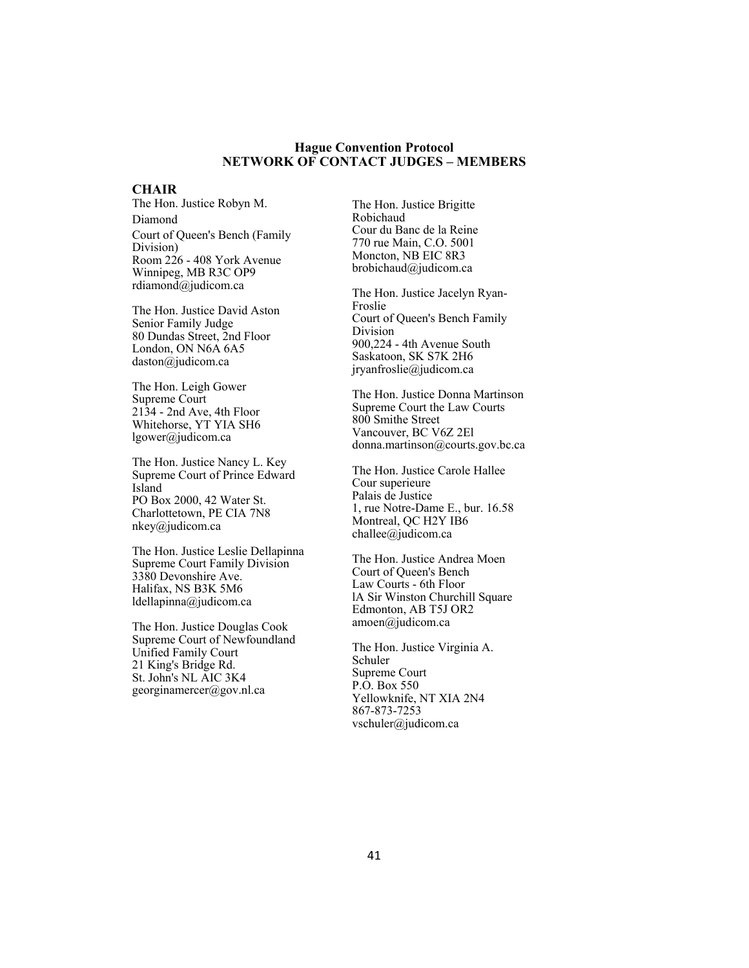#### **Hague Convention Protocol NETWORK OF CONTACT JUDGES – MEMBERS**

#### **CHAIR**

The Hon. Justice Robyn M. Diamond Court of Queen's Bench (Family Division) Room 226 - 408 York Avenue Winnipeg, MB R3C OP9 rdiamond@judicom.ca

The Hon. Justice David Aston Senior Family Judge 80 Dundas Street, 2nd Floor London, ON N6A 6A5 daston@judicom.ca

The Hon. Leigh Gower Supreme Court 2134 - 2nd Ave, 4th Floor Whitehorse, YT YIA SH6 lgower@judicom.ca

The Hon. Justice Nancy L. Key Supreme Court of Prince Edward Island PO Box 2000, 42 Water St. Charlottetown, PE CIA 7N8 nkey@judicom.ca

The Hon. Justice Leslie Dellapinna Supreme Court Family Division 3380 Devonshire Ave. Halifax, NS B3K 5M6 ldellapinna@judicom.ca

The Hon. Justice Douglas Cook Supreme Court of Newfoundland Unified Family Court 21 King's Bridge Rd. St. John's NL AIC 3K4 georginamercer@gov.nl.ca

The Hon. Justice Brigitte Robichaud Cour du Banc de la Reine 770 rue Main, C.O. 5001 Moncton, NB EIC 8R3 brobichaud@judicom.ca

The Hon. Justice Jacelyn Ryan-Froslie Court of Queen's Bench Family Division 900,224 - 4th Avenue South Saskatoon, SK S7K 2H6 jryanfroslie@judicom.ca

The Hon. Justice Donna Martinson Supreme Court the Law Courts 800 Smithe Street Vancouver, BC V6Z 2El donna.martinson@courts.gov.bc.ca

The Hon. Justice Carole Hallee Cour superieure Palais de Justice 1, rue Notre-Dame E., bur. 16.58 Montreal, QC H2Y IB6 challee@judicom.ca

The Hon. Justice Andrea Moen Court of Queen's Bench Law Courts - 6th Floor lA Sir Winston Churchill Square Edmonton, AB T5J OR2 amoen@judicom.ca

The Hon. Justice Virginia A. Schuler Supreme Court P.O. Box 550 Yellowknife, NT XIA 2N4 867-873-7253 vschuler@judicom.ca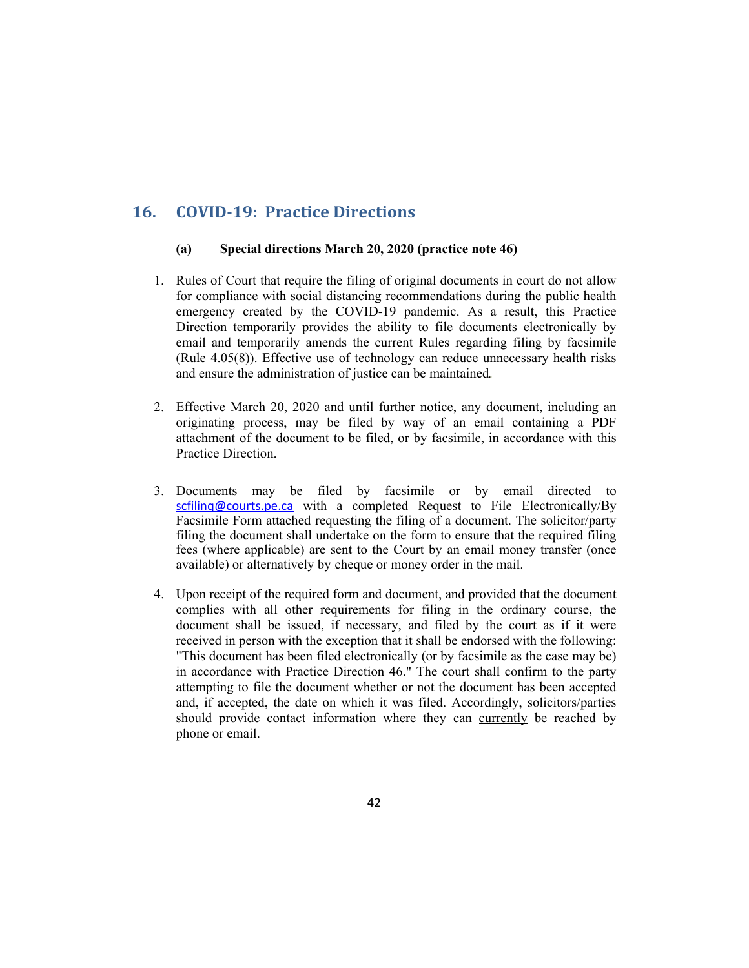# **16. COVID‐19: Practice Directions**

#### **(a) Special directions March 20, 2020 (practice note 46)**

- 1. Rules of Court that require the filing of original documents in court do not allow for compliance with social distancing recommendations during the public health emergency created by the COVID-19 pandemic. As a result, this Practice Direction temporarily provides the ability to file documents electronically by email and temporarily amends the current Rules regarding filing by facsimile (Rule 4.05(8)). Effective use of technology can reduce unnecessary health risks and ensure the administration of justice can be maintained
- 2. Effective March 20, 2020 and until further notice, any document, including an originating process, may be filed by way of an email containing a PDF attachment of the document to be filed, or by facsimile, in accordance with this Practice Direction.
- 3. Documents may be filed by facsimile or by email directed to scfiling@courts.pe.ca with a completed Request to File Electronically/By Facsimile Form attached requesting the filing of a document. The solicitor/party filing the document shall undertake on the form to ensure that the required filing fees (where applicable) are sent to the Court by an email money transfer (once available) or alternatively by cheque or money order in the mail.
- 4. Upon receipt of the required form and document, and provided that the document complies with all other requirements for filing in the ordinary course, the document shall be issued, if necessary, and filed by the court as if it were received in person with the exception that it shall be endorsed with the following: "This document has been filed electronically (or by facsimile as the case may be) in accordance with Practice Direction 46." The court shall confirm to the party attempting to file the document whether or not the document has been accepted and, if accepted, the date on which it was filed. Accordingly, solicitors/parties should provide contact information where they can currently be reached by phone or email.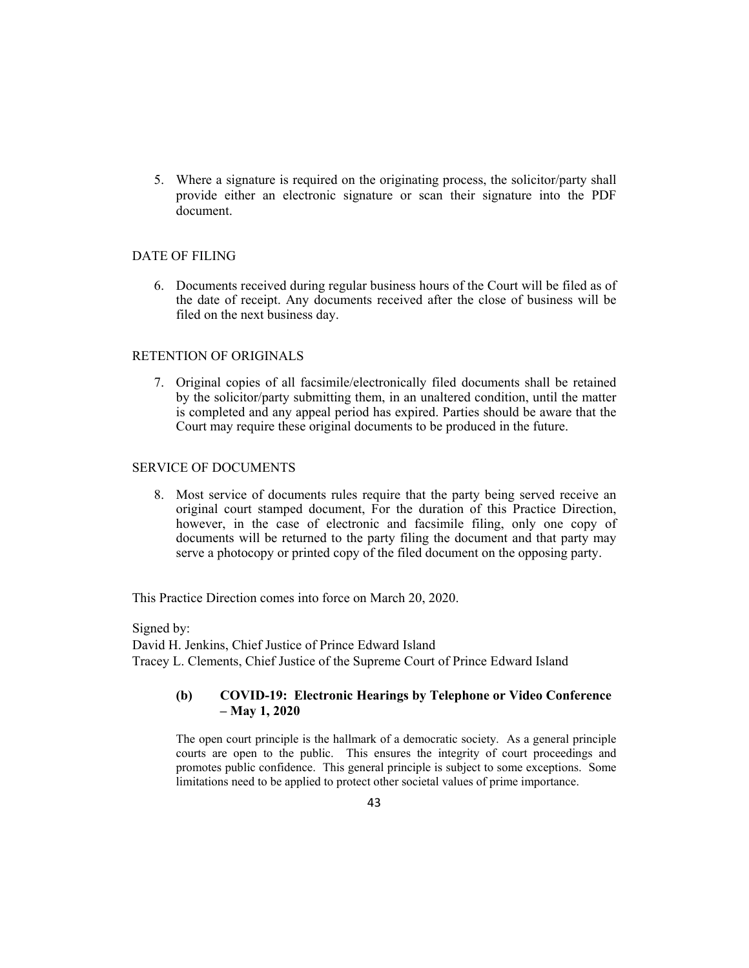5. Where a signature is required on the originating process, the solicitor/party shall provide either an electronic signature or scan their signature into the PDF document.

## DATE OF FILING

6. Documents received during regular business hours of the Court will be filed as of the date of receipt. Any documents received after the close of business will be filed on the next business day.

### RETENTION OF ORIGINALS

7. Original copies of all facsimile/electronically filed documents shall be retained by the solicitor/party submitting them, in an unaltered condition, until the matter is completed and any appeal period has expired. Parties should be aware that the Court may require these original documents to be produced in the future.

### SERVICE OF DOCUMENTS

8. Most service of documents rules require that the party being served receive an original court stamped document, For the duration of this Practice Direction, however, in the case of electronic and facsimile filing, only one copy of documents will be returned to the party filing the document and that party may serve a photocopy or printed copy of the filed document on the opposing party.

This Practice Direction comes into force on March 20, 2020.

Signed by: David H. Jenkins, Chief Justice of Prince Edward Island Tracey L. Clements, Chief Justice of the Supreme Court of Prince Edward Island

## **(b) COVID-19: Electronic Hearings by Telephone or Video Conference – May 1, 2020**

The open court principle is the hallmark of a democratic society. As a general principle courts are open to the public. This ensures the integrity of court proceedings and promotes public confidence. This general principle is subject to some exceptions. Some limitations need to be applied to protect other societal values of prime importance.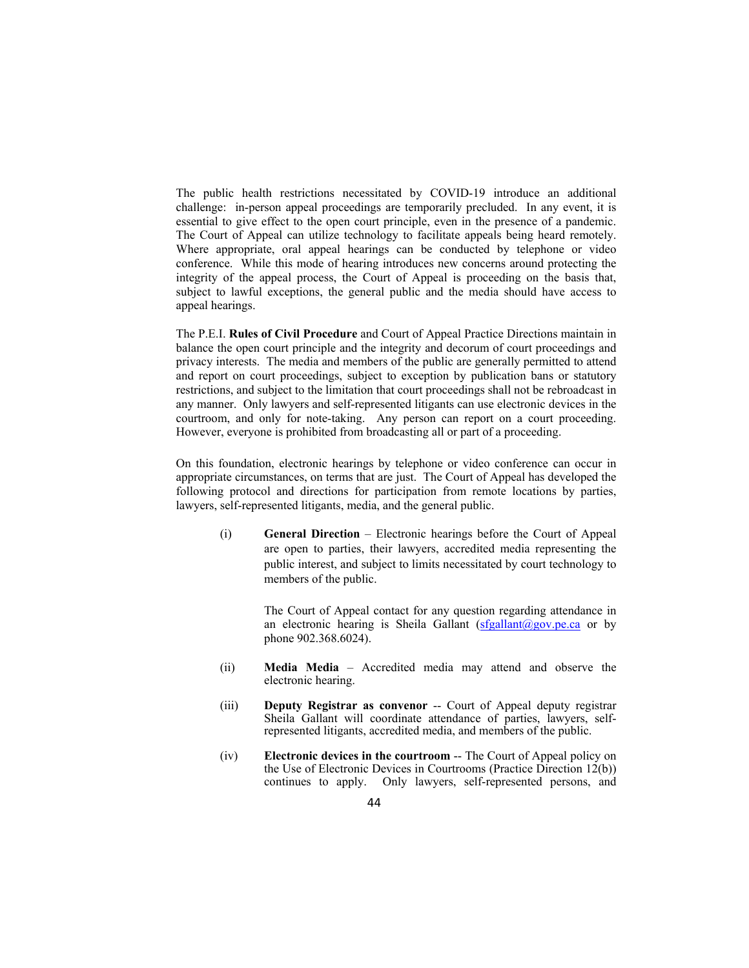The public health restrictions necessitated by COVID-19 introduce an additional challenge: in-person appeal proceedings are temporarily precluded. In any event, it is essential to give effect to the open court principle, even in the presence of a pandemic. The Court of Appeal can utilize technology to facilitate appeals being heard remotely. Where appropriate, oral appeal hearings can be conducted by telephone or video conference. While this mode of hearing introduces new concerns around protecting the integrity of the appeal process, the Court of Appeal is proceeding on the basis that, subject to lawful exceptions, the general public and the media should have access to appeal hearings.

The P.E.I. **Rules of Civil Procedure** and Court of Appeal Practice Directions maintain in balance the open court principle and the integrity and decorum of court proceedings and privacy interests. The media and members of the public are generally permitted to attend and report on court proceedings, subject to exception by publication bans or statutory restrictions, and subject to the limitation that court proceedings shall not be rebroadcast in any manner. Only lawyers and self-represented litigants can use electronic devices in the courtroom, and only for note-taking. Any person can report on a court proceeding. However, everyone is prohibited from broadcasting all or part of a proceeding.

On this foundation, electronic hearings by telephone or video conference can occur in appropriate circumstances, on terms that are just. The Court of Appeal has developed the following protocol and directions for participation from remote locations by parties, lawyers, self-represented litigants, media, and the general public.

(i) **General Direction** – Electronic hearings before the Court of Appeal are open to parties, their lawyers, accredited media representing the public interest, and subject to limits necessitated by court technology to members of the public.

> The Court of Appeal contact for any question regarding attendance in an electronic hearing is Sheila Gallant  $(sfgallant@gov.pe.ca$  or by phone 902.368.6024).

- (ii) **Media Media** Accredited media may attend and observe the electronic hearing.
- (iii) **Deputy Registrar as convenor** -- Court of Appeal deputy registrar Sheila Gallant will coordinate attendance of parties, lawyers, selfrepresented litigants, accredited media, and members of the public.
- (iv) **Electronic devices in the courtroom** -- The Court of Appeal policy on the Use of Electronic Devices in Courtrooms (Practice Direction 12(b)) continues to apply. Only lawyers, self-represented persons, and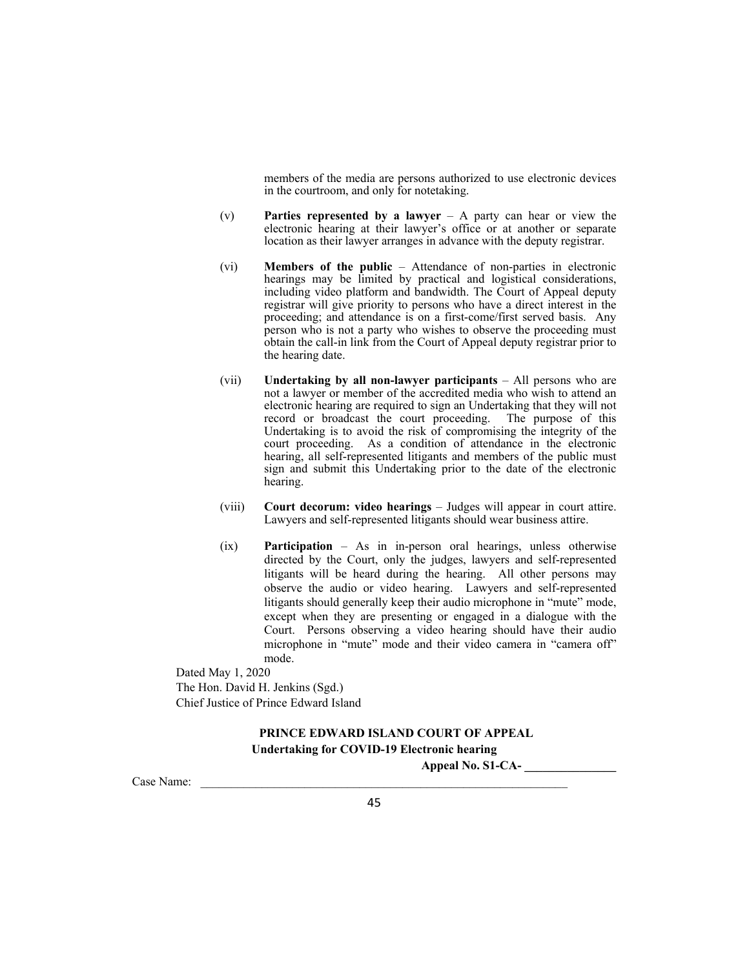members of the media are persons authorized to use electronic devices in the courtroom, and only for notetaking.

- (v) **Parties represented by a lawyer** A party can hear or view the electronic hearing at their lawyer's office or at another or separate location as their lawyer arranges in advance with the deputy registrar.
- (vi) **Members of the public** Attendance of non-parties in electronic hearings may be limited by practical and logistical considerations, including video platform and bandwidth. The Court of Appeal deputy registrar will give priority to persons who have a direct interest in the proceeding; and attendance is on a first-come/first served basis. Any person who is not a party who wishes to observe the proceeding must obtain the call-in link from the Court of Appeal deputy registrar prior to the hearing date.
- (vii) **Undertaking by all non-lawyer participants** All persons who are not a lawyer or member of the accredited media who wish to attend an electronic hearing are required to sign an Undertaking that they will not record or broadcast the court proceeding. The purpose of this Undertaking is to avoid the risk of compromising the integrity of the court proceeding. As a condition of attendance in the electronic hearing, all self-represented litigants and members of the public must sign and submit this Undertaking prior to the date of the electronic hearing.
- (viii) **Court decorum: video hearings** Judges will appear in court attire. Lawyers and self-represented litigants should wear business attire.
- (ix) **Participation** As in in-person oral hearings, unless otherwise directed by the Court, only the judges, lawyers and self-represented litigants will be heard during the hearing. All other persons may observe the audio or video hearing. Lawyers and self-represented litigants should generally keep their audio microphone in "mute" mode, except when they are presenting or engaged in a dialogue with the Court. Persons observing a video hearing should have their audio microphone in "mute" mode and their video camera in "camera off" mode.

Dated May 1, 2020 The Hon. David H. Jenkins (Sgd.) Chief Justice of Prince Edward Island

# **PRINCE EDWARD ISLAND COURT OF APPEAL Undertaking for COVID-19 Electronic hearing**

Case Name: \_\_\_\_\_\_\_\_\_\_\_\_\_\_\_\_\_\_\_\_\_\_\_\_\_\_\_\_\_\_\_\_\_\_\_\_\_\_\_\_\_\_\_\_\_\_\_\_\_\_\_\_\_\_\_\_\_\_\_\_

**Appeal No. S1-CA- \_\_\_\_\_\_\_\_\_\_\_\_\_\_\_**